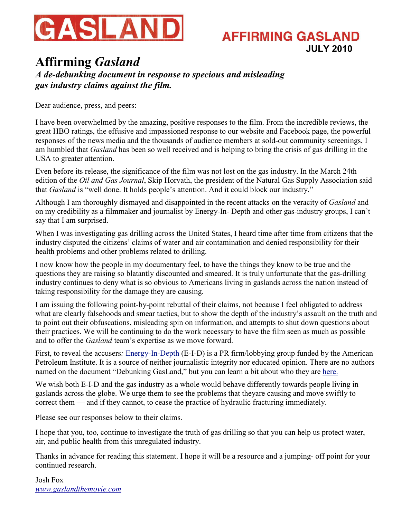

### **AFFIRMING GASLAND JULY 2010**

### **Affirming** *Gasland A de-debunking document in response to specious and misleading gas industry claims against the film.*

Dear audience, press, and peers:

I have been overwhelmed by the amazing, positive responses to the film. From the incredible reviews, the great HBO ratings, the effusive and impassioned response to our website and Facebook page, the powerful responses of the news media and the thousands of audience members at sold-out community screenings, I am humbled that *Gasland* has been so well received and is helping to bring the crisis of gas drilling in the USA to greater attention.

Even before its release, the significance of the film was not lost on the gas industry. In the March 24th edition of the *Oil and Gas Journal*, Skip Horvath, the president of the Natural Gas Supply Association said that *Gasland* is "well done. It holds people's attention. And it could block our industry."

Although I am thoroughly dismayed and disappointed in the recent attacks on the veracity of *Gasland* and on my credibility as a filmmaker and journalist by Energy-In- Depth and other gas-industry groups, I can't say that I am surprised.

When I was investigating gas drilling across the United States, I heard time after time from citizens that the industry disputed the citizens' claims of water and air contamination and denied responsibility for their health problems and other problems related to drilling.

I now know how the people in my documentary feel, to have the things they know to be true and the questions they are raising so blatantly discounted and smeared. It is truly unfortunate that the gas-drilling industry continues to deny what is so obvious to Americans living in gaslands across the nation instead of taking responsibility for the damage they are causing.

I am issuing the following point-by-point rebuttal of their claims, not because I feel obligated to address what are clearly falsehoods and smear tactics, but to show the depth of the industry's assault on the truth and to point out their obfuscations, misleading spin on information, and attempts to shut down questions about their practices. We will be continuing to do the work necessary to have the film seen as much as possible and to offer the *Gasland* team's expertise as we move forward.

First, to reveal the accusers*:* [Energy-In-Depth](http://www.energyindepth.org/) (E-I-D) is a PR firm/lobbying group funded by the American Petroleum Institute. It is a source of neither journalistic integrity nor educated opinion. There are no authors named on the document "Debunking GasLand," but you can learn a bit about who they are [here.](http://www.huffingtonpost.com/kevin-grandia/who-are-the-spindoctors-b_b_621190.html%20%20)

We wish both E-I-D and the gas industry as a whole would behave differently towards people living in gaslands across the globe. We urge them to see the problems that theyare causing and move swiftly to correct them — and if they cannot, to cease the practice of hydraulic fracturing immediately.

Please see our responses below to their claims.

I hope that you, too, continue to investigate the truth of gas drilling so that you can help us protect water, air, and public health from this unregulated industry.

Thanks in advance for reading this statement. I hope it will be a resource and a jumping- off point for your continued research.

Josh Fox *[www.gaslandthemovie.com](http://www.gaslandthemovie.com/)*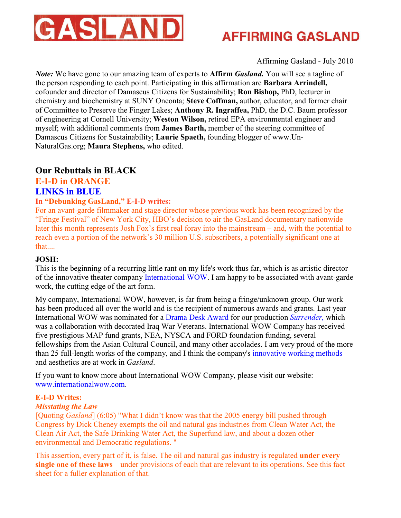

Affirming Gasland - July 2010

*Note:* We have gone to our amazing team of experts to **Affirm** *Gasland.* You will see a tagline of the person responding to each point. Participating in this affirmation are **Barbara Arrindell,** cofounder and director of Damascus Citizens for Sustainability; **Ron Bishop,** PhD, lecturer in chemistry and biochemistry at SUNY Oneonta; **Steve Coffman,** author, educator, and former chair of Committee to Preserve the Finger Lakes; **Anthony R. Ingraffea,** PhD, the D.C. Baum professor of engineering at Cornell University; **Weston Wilson,** retired EPA environmental engineer and myself; with additional comments from **James Barth,** member of the steering committee of Damascus Citizens for Sustainability; **Laurie Spaeth,** founding blogger of www.Un-NaturalGas.org; **Maura Stephens,** who edited.

### **Our Rebuttals in BLACK**

### **E-I-D in ORANGE**

### **LINKS in BLUE**

### **In "Debunking GasLand," E-I-D writes:**

For an avant-garde [filmmaker and stage director](http://www.internationalwow.com/newsite/josh.html) whose previous work has been recognized by the ["Fringe Festival](http://www.fringenyc.org/)" of New York City, HBO's decision to air the GasLand documentary nationwide later this month represents Josh Fox's first real foray into the mainstream – and, with the potential to reach even a portion of the network's 30 million U.S. subscribers, a potentially significant one at that....

### **JOSH:**

This is the beginning of a recurring little rant on my life's work thus far, which is as artistic director of the innovative theater company [International WOW](http://www.internationalwow.com/). I am happy to be associated with avant-garde work, the cutting edge of the art form.

My company, International WOW, however, is far from being a fringe/unknown group. Our work has been produced all over the world and is the recipient of numerous awards and grants. Last year International WOW was nominated for a [Drama Desk Award](http://www.dramadesk.com/press084.html) for our production *[Surrender](http://www.wowsurrender.org/),* which was a collaboration with decorated Iraq War Veterans. International WOW Company has received five prestigious MAP fund grants, NEA, NYSCA and FORD foundation funding, several fellowships from the Asian Cultural Council, and many other accolades. I am very proud of the more than 25 full-length works of the company, and I think the company'[s innovative working methods](http://online.wsj.com/article/SB122541854683986897.html) and aesthetics are at work in *Gasland*.

If you want to know more about International WOW Company, please visit our website: [www.internationalwow.com](http://www.internationalwow.com/).

### **E-I-D Writes:**

### *Misstating the Law*

[Quoting *Gasland*] (6:05) "What I didn't know was that the 2005 energy bill pushed through Congress by Dick Cheney exempts the oil and natural gas industries from Clean Water Act, the Clean Air Act, the Safe Drinking Water Act, the Superfund law, and about a dozen other environmental and Democratic regulations. "

This assertion, every part of it, is false. The oil and natural gas industry is regulated **under every single one of these laws**—under provisions of each that are relevant to its operations. See this fact sheet for a fuller explanation of that.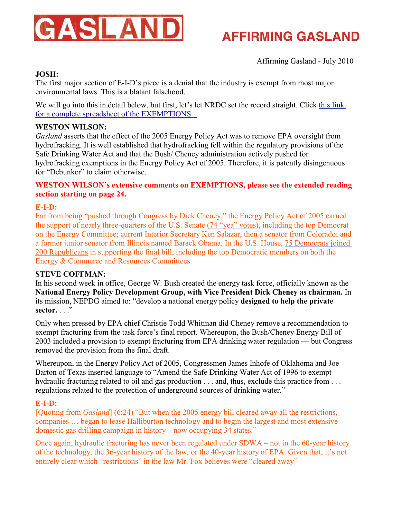

Affirming Gasland - July 2010

### **JOSH:**

The first major section of E-I-D's piece is a denial that the industry is exempt from most major environmental laws. This is a blatant falsehood.

We will go into this in detail below, but first, let's let NRDC set the record straight. Click [this link](http://spreadsheets.google.com/ccc?key=0AgeW9Alo7tb5dDFwajBQWl8zdUxYbE14X0tSdUl1VVE&hl=en) [for a complete spreadsheet of the EXEMPTIONS.](http://spreadsheets.google.com/ccc?key=0AgeW9Alo7tb5dDFwajBQWl8zdUxYbE14X0tSdUl1VVE&hl=en) 

#### **WESTON WILSON:**

*Gasland* asserts that the effect of the 2005 Energy Policy Act was to remove EPA oversight from hydrofracking. It is well established that hydrofracking fell within the regulatory provisions of the Safe Drinking Water Act and that the Bush/ Cheney administration actively pushed for hydrofracking exemptions in the Energy Policy Act of 2005. Therefore, it is patently disingenuous for "Debunker" to claim otherwise.

#### **WESTON WILSON's extensive comments on EXEMPTIONS, please see the extended reading section starting on page 24.**

#### **E-I-D:**

Far from being "pushed through Congress by Dick Cheney," the Energy Policy Act of 2005 earned the support of nearly three-quarters of the U.S. Senate [\(74 "yea" votes](http://www.senate.gov/legislative/LIS/roll_call_lists/roll_call_vote_cfm.cfm?congress=109&session=1&vote=00213)), including the top Democrat on the Energy Committee; current Interior Secretary Ken Salazar, then a senator from Colorado; and a former junior senator from Illinois named Barack Obama. In the U.S. House, [75 Democrats joined](http://clerk.house.gov/evs/2005/roll445.xml) [200 Republicans](http://clerk.house.gov/evs/2005/roll445.xml) in supporting the final bill, including the top Democratic members on both the Energy & Commerce and Resources Committees.

#### **STEVE COFFMAN:**

In his second week in office, George W. Bush created the energy task force, officially known as the **National Energy Policy Development Group, with Vice President Dick Cheney as chairman.** In its mission, NEPDG aimed to: "develop a national energy policy **designed to help the private**  sector. . . .<sup>"</sup>

Only when pressed by EPA chief Christie Todd Whitman did Cheney remove a recommendation to exempt fracturing from the task force's final report. Whereupon, the Bush/Cheney Energy Bill of 2003 included a provision to exempt fracturing from EPA drinking water regulation — but Congress removed the provision from the final draft.

Whereupon, in the Energy Policy Act of 2005, Congressmen James Inhofe of Oklahoma and Joe Barton of Texas inserted language to "Amend the Safe Drinking Water Act of 1996 to exempt hydraulic fracturing related to oil and gas production . . . and, thus, exclude this practice from . . . regulations related to the protection of underground sources of drinking water."

### **E-I-D:**

[Quoting from *Gasland*] (6:24) "But when the 2005 energy bill cleared away all the restrictions, companies … began to lease Halliburton technology and to begin the largest and most extensive domestic gas drilling campaign in history – now occupying 34 states."

Once again, hydraulic fracturing has never been regulated under SDWA – not in the 60-year history of the technology, the 36-year history of the law, or the 40-year history of EPA. Given that, it's not entirely clear which "restrictions" in the law Mr. Fox believes were "cleared away"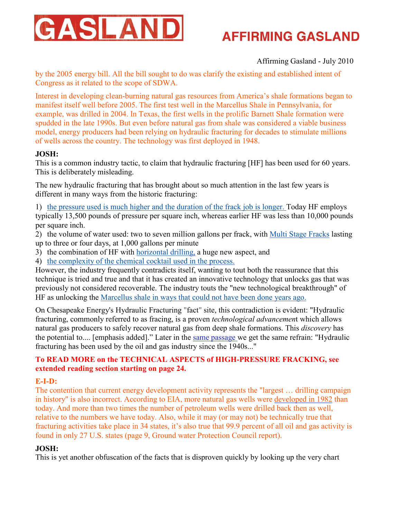

### Affirming Gasland - July 2010

by the 2005 energy bill. All the bill sought to do was clarify the existing and established intent of Congress as it related to the scope of SDWA.

Interest in developing clean-burning natural gas resources from America's shale formations began to manifest itself well before 2005. The first test well in the Marcellus Shale in Pennsylvania, for example, was drilled in 2004. In Texas, the first wells in the prolific Barnett Shale formation were spudded in the late 1990s. But even before natural gas from shale was considered a viable business model, energy producers had been relying on hydraulic fracturing for decades to stimulate millions of wells across the country. The technology was first deployed in 1948.

### **JOSH:**

This is a common industry tactic, to claim that hydraulic fracturing [HF] has been used for 60 years. This is deliberately misleading.

The new hydraulic fracturing that has brought about so much attention in the last few years is different in many ways from the historic fracturing:

- 1) [the pressure used is much higher and the duration of the frack job is longer.](http://www.pump-zone.com/upstream-pumping/frac-pumps/the-evolution-of-hydraulic-fracturing-and-its-effect-on-frac-pump-technology.html) Today HF employs typically 13,500 pounds of pressure per square inch, whereas earlier HF was less than 10,000 pounds per square inch.
- 2) the volume of water used: two to seven million gallons per frack, with [Multi Stage Fracks](http://www.pump-zone.com/upstream-pumping/frac-pumps/the-evolution-of-hydraulic-fracturing-and-its-effect-on-frac-pump-technology/page-2.html) lasting up to three or four days, at 1,000 gallons per minute
- 3) the combination of HF with [horizontal drilling](http://www.horizontaldrilling.org/), a huge new aspect, and
- 4) [the complexity of the chemical cocktail used in the process.](http://7bends.com/2010/05/26/world-renowned-scientist-illuminates-health-effects-of-water-contamination-from-fracking/)

However, the industry frequently contradicts itself, wanting to tout both the reassurance that this technique is tried and true and that it has created an innovative technology that unlocks gas that was previously not considered recoverable. The industry touts the "new technological breakthrough" of HF as unlocking the [Marcellus shale in ways that could not have been done years ago.](http://www.hydraulicfracturing.com/Pages/information.aspx?utm_source=OPM&utm_medium=CPC&utm_campaign=Paid_Search&gclid=CLnUmKanx6ICFSQ65QodAyHY6A)

On Chesapeake Energy's Hydraulic Fracturing "fact" site, this contradiction is evident: "Hydraulic fracturing, commonly referred to as fracing, is a proven *technological advancemen*t which allows natural gas producers to safely recover natural gas from deep shale formations. This *discovery* has the potential to.... [emphasis added]." Later in the [same passage](http://www.hydraulicfracturing.com/Pages/information.aspx?utm_source=OPM&utm_medium=CPC&utm_campaign=Paid_Search&gclid=CLnUmKanx6ICFSQ65QodAyHY6A) we get the same refrain: "Hydraulic fracturing has been used by the oil and gas industry since the 1940s..."

### **To READ MORE on the TECHNICAL ASPECTS of HIGH-PRESSURE FRACKING, see extended reading section starting on page 24.**

### **E-I-D:**

The contention that current energy development activity represents the "largest … drilling campaign in history" is also incorrect. According to EIA, more natural gas wells were [developed in 1982](http://www.eia.doe.gov/dnav/pet/hist/LeafHandler.ashx?n=PET&s=E_ERTWG_XWC0_NUS_C&f=M) than today. And more than two times the number of petroleum wells were drilled back then as well, relative to the numbers we have today. Also, while it may (or may not) be technically true that fracturing activities take place in 34 states, it's also true that 99.9 percent of all oil and gas activity is found in only 27 U.S. states (page 9, Ground water Protection Council report).

### **JOSH:**

This is yet another obfuscation of the facts that is disproven quickly by looking up the very chart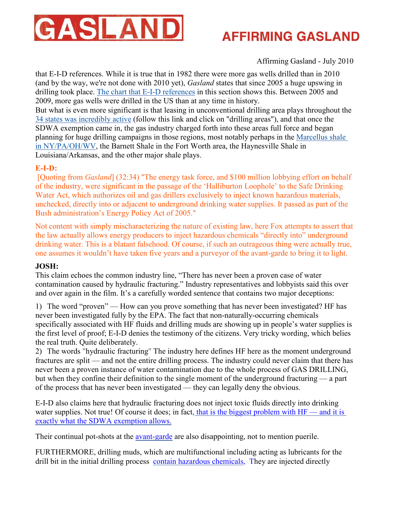

Affirming Gasland - July 2010

that E-I-D references. While it is true that in 1982 there were more gas wells drilled than in 2010 (and by the way, we're not done with 2010 yet), *Gasland* states that since 2005 a huge upswing in drilling took place. [The chart that E-I-D references](http://www.eia.doe.gov/dnav/pet/hist/LeafHandler.ashx?n=PET&s=E_ERTWG_XWC0_NUS_C&f=M) in this section shows this. Between 2005 and 2009, more gas wells were drilled in the US than at any time in history.

But what is even more significant is that leasing in unconventional drilling area plays throughout the [34 states was incredibly active](http://www.gaslandthemovie.com/) (follow this link and click on "drilling areas"), and that once the SDWA exemption came in, the gas industry charged forth into these areas full force and began planning for huge drilling campaigns in those regions, most notably perhaps in the [Marcellus shale](http://catskillmountainkeeper.org/node/290) [in NY/PA/OH/WV](http://catskillmountainkeeper.org/node/290), the Barnett Shale in the Fort Worth area, the Haynesville Shale in Louisiana/Arkansas, and the other major shale plays.

### **E-I-D:**

 [Quoting from *Gasland*] (32:34) "The energy task force, and \$100 million lobbying effort on behalf of the industry, were significant in the passage of the 'Halliburton Loophole' to the Safe Drinking Water Act, which authorizes oil and gas drillers exclusively to inject known hazardous materials, unchecked, directly into or adjacent to underground drinking water supplies. It passed as part of the Bush administration's Energy Policy Act of 2005."

Not content with simply mischaracterizing the nature of existing law, here Fox attempts to assert that the law actually allows energy producers to inject hazardous chemicals "directly into" underground drinking water. This is a blatant falsehood. Of course, if such an outrageous thing were actually true, one assumes it wouldn't have taken five years and a purveyor of the avant-garde to bring it to light.

### **JOSH:**

This claim echoes the common industry line, "There has never been a proven case of water contamination caused by hydraulic fracturing." Industry representatives and lobbyists said this over and over again in the film. It's a carefully worded sentence that contains two major deceptions:

1) The word "proven" — How can you prove something that has never been investigated? HF has never been investigated fully by the EPA. The fact that non-naturally-occurring chemicals specifically associated with HF fluids and drilling muds are showing up in people's water supplies is the first level of proof; E-I-D denies the testimony of the citizens. Very tricky wording, which belies the real truth. Quite deliberately.

2) The words "hydraulic fracturing" The industry here defines HF here as the moment underground fractures are split — and not the entire drilling process. The industry could never claim that there has never been a proven instance of water contamination due to the whole process of GAS DRILLING, but when they confine their definition to the single moment of the underground fracturing — a part of the process that has never been investigated — they can legally deny the obvious.

E-I-D also claims here that hydraulic fracturing does not inject toxic fluids directly into drinking water supplies. Not true! Of course it does; in fact[, that is the biggest problem with HF — and it is](http://www.youtube.com/watch?v=1KqFsR4HQpk&feature=channel) [exactly what the SDWA exemption allows](http://www.youtube.com/watch?v=1KqFsR4HQpk&feature=channel).

Their continual pot-shots at the [avant-garde](http://en.wikipedia.org/wiki/Avant-garde) are also disappointing, not to mention puerile.

FURTHERMORE, drilling muds, which are multifunctional including acting as lubricants for the drill bit in the initial drilling process [contain hazardous chemicals](http://www.osha.gov/SLTC/etools/oilandgas/drilling/drillingfluid.html#drilling_fluid_additives), They are injected directly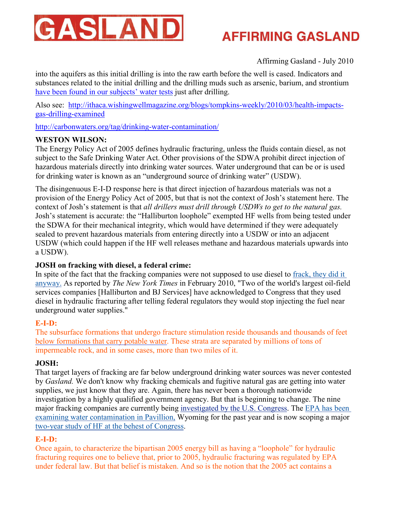

### Affirming Gasland - July 2010

into the aquifers as this initial drilling is into the raw earth before the well is cased. Indicators and substances related to the initial drilling and the drilling muds such as arsenic, barium, and strontium [have been found in our subjects' water tests](http://www.propublica.org/article/pa-residents-sue-gas-driller-for-contamination-health-concerns-1120) just after drilling.

Also see: [http://ithaca.wishingwellmagazine.org/blogs/tompkins-weekly/2010/03/health-impacts](http://ithaca.wishingwellmagazine.org/blogs/tompkins-weekly/2010/03/health-impacts-gas-drilling-examined)[gas-drilling-examined](http://ithaca.wishingwellmagazine.org/blogs/tompkins-weekly/2010/03/health-impacts-gas-drilling-examined)

[http://carbonwaters.org/tag/drinking-water-contamination](http://carbonwaters.org/tag/drinking-water-contamination/)/

### **WESTON WILSON:**

The Energy Policy Act of 2005 defines hydraulic fracturing, unless the fluids contain diesel, as not subject to the Safe Drinking Water Act. Other provisions of the SDWA prohibit direct injection of hazardous materials directly into drinking water sources. Water underground that can be or is used for drinking water is known as an "underground source of drinking water" (USDW).

The disingenuous E-I-D response here is that direct injection of hazardous materials was not a provision of the Energy Policy Act of 2005, but that is not the context of Josh's statement here. The context of Josh's statement is that *all drillers must drill through USDWs to get to the natural gas.* Josh's statement is accurate: the "Halliburton loophole" exempted HF wells from being tested under the SDWA for their mechanical integrity, which would have determined if they were adequately sealed to prevent hazardous materials from entering directly into a USDW or into an adjacent USDW (which could happen if the HF well releases methane and hazardous materials upwards into a USDW).

### **JOSH on fracking with diesel, a federal crime:**

In spite of the fact that the fracking companies were not supposed to use diesel to [frack, they did it](http://www.nytimes.com/gwire/2010/02/19/19greenwire-two-oil-field-companies-acknowledge-fracking-w-90863.html) [anyway.](http://www.nytimes.com/gwire/2010/02/19/19greenwire-two-oil-field-companies-acknowledge-fracking-w-90863.html) As reported by *The New York Times* in February 2010, "Two of the world's largest oil-field services companies [Halliburton and BJ Services] have acknowledged to Congress that they used diesel in hydraulic fracturing after telling federal regulators they would stop injecting the fuel near underground water supplies."

### **E-I-D:**

The subsurface formations that undergo fracture stimulation reside thousands and thousands of feet [below formations that carry potable water](http://www.energyindepth.org/hydraulic-frac-graphic.jpg). These strata are separated by millions of tons of impermeable rock, and in some cases, more than two miles of it.

### **JOSH:**

That target layers of fracking are far below underground drinking water sources was never contested by *Gasland.* We don't know why fracking chemicals and fugitive natural gas are getting into water supplies, we just know that they are. Again, there has never been a thorough nationwide investigation by a highly qualified government agency. But that is beginning to change. The nine major fracking companies are currently being [investigated by the U.S. Congress](http://www.propublica.org/article/congress-launches-investigation-into-gas-drilling-practices-219). Th[e EPA has been](http://www.propublica.org/article/epa-chemicals-found-in-wyo.-drinking-water-might-be-from-fracking-825) [examining water contamination in Pavillion](http://www.propublica.org/article/epa-chemicals-found-in-wyo.-drinking-water-might-be-from-fracking-825), Wyoming for the past year and is now scoping a major [two-year study of HF at the behest of Congress](http://www.propublica.org/article/broad-scope-of-epas-fracturing-study-raises-ire-of-gas-industry).

### **E-I-D:**

Once again, to characterize the bipartisan 2005 energy bill as having a "loophole" for hydraulic fracturing requires one to believe that, prior to 2005, hydraulic fracturing was regulated by EPA under federal law. But that belief is mistaken. And so is the notion that the 2005 act contains a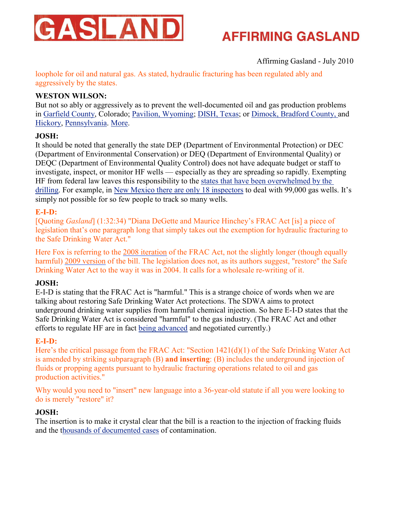

### Affirming Gasland - July 2010

loophole for oil and natural gas. As stated, hydraulic fracturing has been regulated ably and aggressively by the states.

### **WESTON WILSON:**

But not so ably or aggressively as to prevent the well-documented oil and gas production problems in [Garfield County](http://coloradoindependent.com/53081/state-backlogged-with-gas-contamination-cases-dating-back-years), Colorado; [Pavilion, Wyoming](http://www.nodirtyenergy.org/index.php?option=com_content&task=view&id=62&Itemid=111); [DISH, Texas](http://baddish.blogspot.com/search?updated-max=2010-06-13T06%3A23%3A00-07%3A00&max-results=7); or [Dimock, Bradford County,](http://www.pressconnects.com/article/20100611/NEWS01/306110013/Bradford-County-residents-see-Marcellus-Shale-development-changing-their-lives) and [Hickory](http://www.youtube.com/watch?v=A7Uviw56Iew), [Pennsylvania](http://www.propublica.org/article/pa-residents-sue-gas-driller-for-contamination-health-concerns-1120). [More](http://www.propublica.org/article/natural-gas-drilling-what-we-dont-know-1231).

### **JOSH:**

It should be noted that generally the state DEP (Department of Environmental Protection) or DEC (Department of Environmental Conservation) or DEQ (Department of Environmental Quality) or DEQC (Department of Environmental Quality Control) does not have adequate budget or staff to investigate, inspect, or monitor HF wells — especially as they are spreading so rapidly. Exempting HF from federal law leaves this responsibility to the [states that have been overwhelmed by the](http://thetimes-tribune.com/news/state-lacks-consistent-record-keeping-for-natural-gas-drilling-contamination-leak-incidents-1.857449) [drilling](http://thetimes-tribune.com/news/state-lacks-consistent-record-keeping-for-natural-gas-drilling-contamination-leak-incidents-1.857449). For example, in [New Mexico there are only 18 inspectors](http://www.santafenewmexican.com/Local%20News/Inspectors-struggle-to-monitor-vast-area) to deal with 99,000 gas wells. It's simply not possible for so few people to track so many wells.

### **E-I-D:**

[Quoting *Gasland*] (1:32:34) "Diana DeGette and Maurice Hinchey's FRAC Act [is] a piece of legislation that's one paragraph long that simply takes out the exemption for hydraulic fracturing to the Safe Drinking Water Act."

Here Fox is referring to the [2008 iteration](http://thomas.loc.gov/cgi-bin/bdquery/D?d110:26:./temp/~bdxlk8::%7C/home/LegislativeData.php?n=BSS;c=110%7C) of the FRAC Act, not the slightly longer (though equally harmful) [2009 version](http://thomas.loc.gov/cgi-bin/bdquery/D?d111:17:./temp/~bd6Bc1::%7C/home/LegislativeData.php?n=BSS;c=111%7C) of the bill. The legislation does not, as its authors suggest, "restore" the Safe Drinking Water Act to the way it was in 2004. It calls for a wholesale re-writing of it.

### **JOSH:**

E-I-D is stating that the FRAC Act is "harmful." This is a strange choice of words when we are talking about restoring Safe Drinking Water Act protections. The SDWA aims to protect underground drinking water supplies from harmful chemical injection. So here E-I-D states that the Safe Drinking Water Act is considered "harmful" to the gas industry. (The FRAC Act and other efforts to regulate HF are in fact [being advanced](http://www.nytimes.com/gwire/2010/06/24/24greenwire-dems-natural-gas-industry-negotiating-fracking-36910.html) and negotiated currently.)

### **E-I-D:**

Here's the critical passage from the FRAC Act: "Section 1421(d)(1) of the Safe Drinking Water Act is amended by striking subparagraph (B) **and inserting**: (B) includes the underground injection of fluids or propping agents pursuant to hydraulic fracturing operations related to oil and gas production activities."

Why would you need to "insert" new language into a 36-year-old statute if all you were looking to do is merely "restore" it?

### **JOSH:**

The insertion is to make it crystal clear that the bill is a reaction to the injection of fracking fluids and the [thousands of documented cases](http://www.scientificamerican.com/article.cfm?id=drill-for-natural-gas-pollute-water) of contamination.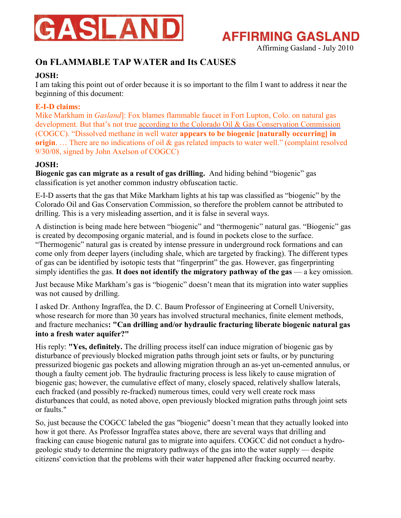

Affirming Gasland - July 2010

### **On FLAMMABLE TAP WATER and Its CAUSES**

### **JOSH:**

I am taking this point out of order because it is so important to the film I want to address it near the beginning of this document:

### **E-I-D claims:**

Mike Markham in *Gasland*]: Fox blames flammable faucet in Fort Lupton, Colo. on natural gas development. But that's not true [according to the Colorado Oil & Gas Conservation Commission](http://cogcc.state.co.us/cogis/ComplaintReport.asp?doc_num=200190138) (COGCC). "Dissolved methane in well water **appears to be biogenic [naturally occurring] in origin.** ... There are no indications of oil & gas related impacts to water well." (complaint resolved 9/30/08, signed by John Axelson of COGCC)

### **JOSH:**

**Biogenic gas can migrate as a result of gas drilling.** And hiding behind "biogenic" gas classification is yet another common industry obfuscation tactic.

E-I-D asserts that the gas that Mike Markham lights at his tap was classified as "biogenic" by the Colorado Oil and Gas Conservation Commission, so therefore the problem cannot be attributed to drilling. This is a very misleading assertion, and it is false in several ways.

A distinction is being made here between "biogenic" and "thermogenic" natural gas. "Biogenic" gas is created by decomposing organic material, and is found in pockets close to the surface. "Thermogenic" natural gas is created by intense pressure in underground rock formations and can come only from deeper layers (including shale, which are targeted by fracking). The different types of gas can be identified by isotopic tests that "fingerprint" the gas. However, gas fingerprinting simply identifies the gas. **It does not identify the migratory pathway of the gas** — a key omission.

Just because Mike Markham's gas is "biogenic" doesn't mean that its migration into water supplies was not caused by drilling.

I asked Dr. Anthony Ingraffea, the D. C. Baum Professor of Engineering at Cornell University, whose research for more than 30 years has involved structural mechanics, finite element methods, and fracture mechanics**: "Can drilling and/or hydraulic fracturing liberate biogenic natural gas into a fresh water aquifer?"**

His reply: **"Yes, definitely.** The drilling process itself can induce migration of biogenic gas by disturbance of previously blocked migration paths through joint sets or faults, or by puncturing pressurized biogenic gas pockets and allowing migration through an as-yet un-cemented annulus, or though a faulty cement job. The hydraulic fracturing process is less likely to cause migration of biogenic gas; however, the cumulative effect of many, closely spaced, relatively shallow laterals, each fracked (and possibly re-fracked) numerous times, could very well create rock mass disturbances that could, as noted above, open previously blocked migration paths through joint sets or faults."

So, just because the COGCC labeled the gas "biogenic" doesn't mean that they actually looked into how it got there. As Professor Ingraffea states above, there are several ways that drilling and fracking can cause biogenic natural gas to migrate into aquifers. COGCC did not conduct a hydrogeologic study to determine the migratory pathways of the gas into the water supply — despite citizens' conviction that the problems with their water happened after fracking occurred nearby.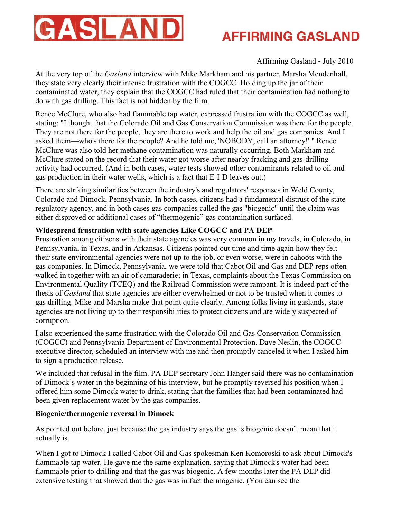

Affirming Gasland - July 2010

At the very top of the *Gasland* interview with Mike Markham and his partner, Marsha Mendenhall, they state very clearly their intense frustration with the COGCC. Holding up the jar of their contaminated water, they explain that the COGCC had ruled that their contamination had nothing to do with gas drilling. This fact is not hidden by the film.

Renee McClure, who also had flammable tap water, expressed frustration with the COGCC as well, stating: "I thought that the Colorado Oil and Gas Conservation Commission was there for the people. They are not there for the people, they are there to work and help the oil and gas companies. And I asked them—who's there for the people? And he told me, 'NOBODY, call an attorney!' " Renee McClure was also told her methane contamination was naturally occurring. Both Markham and McClure stated on the record that their water got worse after nearby fracking and gas-drilling activity had occurred. (And in both cases, water tests showed other contaminants related to oil and gas production in their water wells, which is a fact that E-I-D leaves out.)

There are striking similarities between the industry's and regulators' responses in Weld County, Colorado and Dimock, Pennsylvania. In both cases, citizens had a fundamental distrust of the state regulatory agency, and in both cases gas companies called the gas "biogenic" until the claim was either disproved or additional cases of "thermogenic" gas contamination surfaced.

### **Widespread frustration with state agencies Like COGCC and PA DEP**

Frustration among citizens with their state agencies was very common in my travels, in Colorado, in Pennsylvania, in Texas, and in Arkansas. Citizens pointed out time and time again how they felt their state environmental agencies were not up to the job, or even worse, were in cahoots with the gas companies. In Dimock, Pennsylvania, we were told that Cabot Oil and Gas and DEP reps often walked in together with an air of camaraderie; in Texas, complaints about the Texas Commission on Environmental Quality (TCEQ) and the Railroad Commission were rampant. It is indeed part of the thesis of *Gasland* that state agencies are either overwhelmed or not to be trusted when it comes to gas drilling. Mike and Marsha make that point quite clearly. Among folks living in gaslands, state agencies are not living up to their responsibilities to protect citizens and are widely suspected of corruption.

I also experienced the same frustration with the Colorado Oil and Gas Conservation Commission (COGCC) and Pennsylvania Department of Environmental Protection. Dave Neslin, the COGCC executive director, scheduled an interview with me and then promptly canceled it when I asked him to sign a production release.

We included that refusal in the film. PA DEP secretary John Hanger said there was no contamination of Dimock's water in the beginning of his interview, but he promptly reversed his position when I offered him some Dimock water to drink, stating that the families that had been contaminated had been given replacement water by the gas companies.

### **Biogenic/thermogenic reversal in Dimock**

As pointed out before, just because the gas industry says the gas is biogenic doesn't mean that it actually is.

When I got to Dimock I called Cabot Oil and Gas spokesman Ken Komoroski to ask about Dimock's flammable tap water. He gave me the same explanation, saying that Dimock's water had been flammable prior to drilling and that the gas was biogenic. A few months later the PA DEP did extensive testing that showed that the gas was in fact thermogenic. (You can see the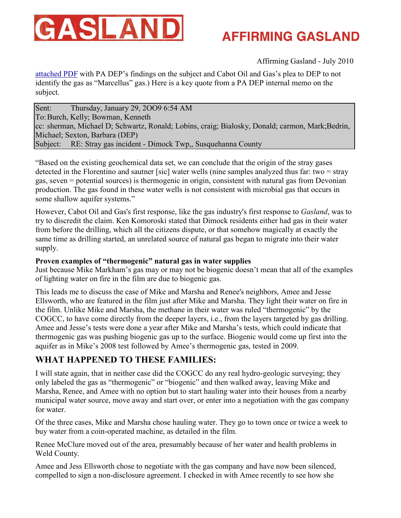

Affirming Gasland - July 2010

[attached PDF](http://www.damascuscitizens.org/Internal-DEP-Discussion.pdf) with PA DEP's findings on the subject and Cabot Oil and Gas's plea to DEP to not identify the gas as "Marcellus" gas.) Here is a key quote from a PA DEP internal memo on the subject.

Sent: Thursday, January 29, 2OO9 6:54 AM To: Burch, Kelly; Bowman, Kenneth cc: sherman, Michael D; Schwartz, Ronald; Lobins, craig; Bialosky, Donald; carmon, Mark;Bedrin, Michael; Sexton, Barbara (DEP) Subject: RE: Stray gas incident - Dimock Twp,, Susquehanna County

"Based on the existing geochemical data set, we can conclude that the origin of the stray gases detected in the Florentino and sautner [sic] water wells (nine samples analyzed thus far: two = stray gas, seven = potential sources) is thermogenic in origin, consistent with natural gas from Devonian production. The gas found in these water wells is not consistent with microbial gas that occurs in some shallow aquifer systems."

However, Cabot Oil and Gas's first response, like the gas industry's first response to *Gasland*, was to try to discredit the claim. Ken Komoroski stated that Dimock residents either had gas in their water from before the drilling, which all the citizens dispute, or that somehow magically at exactly the same time as drilling started, an unrelated source of natural gas began to migrate into their water supply.

### **Proven examples of "thermogenic" natural gas in water supplies**

Just because Mike Markham's gas may or may not be biogenic doesn't mean that all of the examples of lighting water on fire in the film are due to biogenic gas.

This leads me to discuss the case of Mike and Marsha and Renee's neighbors, Amee and Jesse Ellsworth, who are featured in the film just after Mike and Marsha. They light their water on fire in the film. Unlike Mike and Marsha, the methane in their water was ruled "thermogenic" by the COGCC, to have come directly from the deeper layers, i.e., from the layers targeted by gas drilling. Amee and Jesse's tests were done a year after Mike and Marsha's tests, which could indicate that thermogenic gas was pushing biogenic gas up to the surface. Biogenic would come up first into the aquifer as in Mike's 2008 test followed by Amee's thermogenic gas, tested in 2009.

### **WHAT HAPPENED TO THESE FAMILIES:**

I will state again, that in neither case did the COGCC do any real hydro-geologic surveying; they only labeled the gas as "thermogenic" or "biogenic" and then walked away, leaving Mike and Marsha, Renee, and Amee with no option but to start hauling water into their houses from a nearby municipal water source, move away and start over, or enter into a negotiation with the gas company for water.

Of the three cases, Mike and Marsha chose hauling water. They go to town once or twice a week to buy water from a coin-operated machine, as detailed in the film.

Renee McClure moved out of the area, presumably because of her water and health problems in Weld County.

Amee and Jess Ellsworth chose to negotiate with the gas company and have now been silenced, compelled to sign a non-disclosure agreement. I checked in with Amee recently to see how she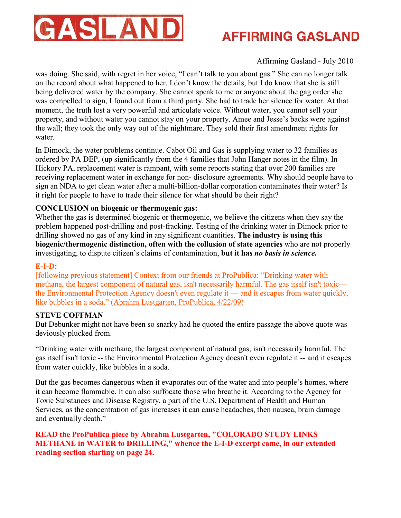

### Affirming Gasland - July 2010

was doing. She said, with regret in her voice, "I can't talk to you about gas." She can no longer talk on the record about what happened to her. I don't know the details, but I do know that she is still being delivered water by the company. She cannot speak to me or anyone about the gag order she was compelled to sign, I found out from a third party. She had to trade her silence for water. At that moment, the truth lost a very powerful and articulate voice. Without water, you cannot sell your property, and without water you cannot stay on your property. Amee and Jesse's backs were against the wall; they took the only way out of the nightmare. They sold their first amendment rights for water.

In Dimock, the water problems continue. Cabot Oil and Gas is supplying water to 32 families as ordered by PA DEP, (up significantly from the 4 families that John Hanger notes in the film). In Hickory PA, replacement water is rampant, with some reports stating that over 200 families are receiving replacement water in exchange for non- disclosure agreements. Why should people have to sign an NDA to get clean water after a multi-billion-dollar corporation contaminates their water? Is it right for people to have to trade their silence for what should be their right?

#### **CONCLUSION on biogenic or thermogenic gas:**

Whether the gas is determined biogenic or thermogenic, we believe the citizens when they say the problem happened post-drilling and post-fracking. Testing of the drinking water in Dimock prior to drilling showed no gas of any kind in any significant quantities. **The industry is using this biogenic/thermogenic distinction, often with the collusion of state agencies** who are not properly investigating, to dispute citizen's claims of contamination, **but it has** *no basis in science.* 

#### **E-I-D:**

[following previous statement] Context from our friends at ProPublica: "Drinking water with methane, the largest component of natural gas, isn't necessarily harmful. The gas itself isn't toxic the Environmental Protection Agency doesn't even regulate it — and it escapes from water quickly, like bubbles in a soda." [\(Abrahm Lustgarten, ProPublica, 4/22/09](http://www.propublica.org/feature/colorado-study-links-methane-in-water-drilling-422))

#### **STEVE COFFMAN**

But Debunker might not have been so snarky had he quoted the entire passage the above quote was deviously plucked from.

"Drinking water with methane, the largest component of natural gas, isn't necessarily harmful. The gas itself isn't toxic -- the Environmental Protection Agency doesn't even regulate it -- and it escapes from water quickly, like bubbles in a soda.

But the gas becomes dangerous when it evaporates out of the water and into people's homes, where it can become flammable. It can also suffocate those who breathe it. According to the Agency for Toxic Substances and Disease Registry, a part of the U.S. Department of Health and Human Services, as the concentration of gas increases it can cause headaches, then nausea, brain damage and eventually death."

### **READ the ProPublica piece by Abrahm Lustgarten, "COLORADO STUDY LINKS METHANE in WATER to DRILLING," whence the E-I-D excerpt came, in our extended reading section starting on page 24.**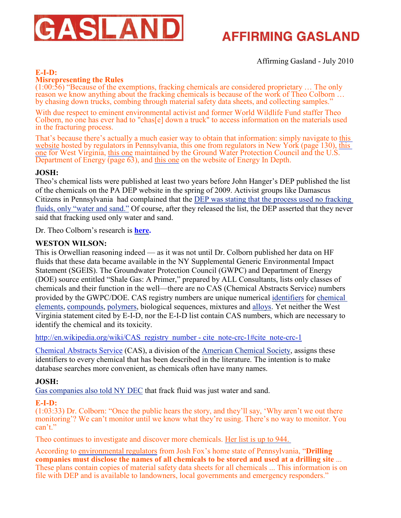

Affirming Gasland - July 2010

### **E-I-D:**

### **Misrepresenting the Rules**

(1:00:56) "Because of the exemptions, fracking chemicals are considered proprietary … The only reason we know anything about the fracking chemicals is because of the work of Theo Colborn  $\ldots$ by chasing down trucks, combing through material safety data sheets, and collecting samples."

With due respect to eminent environmental activist and former World Wildlife Fund staffer Theo Colborn, no one has ever had to "chas[e] down a truck" to access information on the materials used in the fracturing process.

That's because there's actually a much easier way to obtain that information: simply navigate to [this](http://www.dep.state.pa.us/dep/deputate/minres/oilgas/FractListing.pdf) [website](http://www.dep.state.pa.us/dep/deputate/minres/oilgas/FractListing.pdf) hosted by regulators in Pennsylvania, [this](http://www.dep.wv.gov/oil-and-gas/Documents/SLB%20WV%20Fracture%20Solutions.pdf) one from regulators in New York (page 130), this [one](http://www.dep.wv.gov/oil-and-gas/Documents/SLB%20WV%20Fracture%20Solutions.pdf) for West Virginia, [this one](http://www.netl.doe.gov/technologies/oil-gas/publications/EPreports/Shale_Gas_Primer_2009.pdf) maintained by the Ground Water Protection Council and the U.S. Department of Energy (page 63), and [this one](http://www.energyindepth.org/frac-fluid.pdf) on the website of Energy In Depth.

#### **JOSH:**

Theo's chemical lists were published at least two years before John Hanger's DEP published the list of the chemicals on the PA DEP website in the spring of 2009. Activist groups like Damascus Citizens in Pennsylvania had complained that the [DEP was stating that the process used no fracking](http://www.vanityfair.com/business/features/2010/06/fracking-in-pennsylvania-201006) [fluids, only "water and sand."](http://www.vanityfair.com/business/features/2010/06/fracking-in-pennsylvania-201006) Of course, after they released the list, the DEP asserted that they never said that fracking used only water and sand.

Dr. Theo Colborn's research is **[here.](http://www.endocrinedisruption.com/chemicals.introduction.php)** 

### **WESTON WILSON:**

This is Orwellian reasoning indeed — as it was not until Dr. Colborn published her data on HF fluids that these data became available in the NY Supplemental Generic Environmental Impact Statement (SGEIS). The Groundwater Protection Council (GWPC) and Department of Energy (DOE) source entitled "Shale Gas: A Primer," prepared by ALL Consultants, lists only classes of chemicals and their function in the well—there are no CAS (Chemical Abstracts Service) numbers provided by the GWPC/DOE. CAS registry numbers are unique numeric[al identifiers](http://en.wikipedia.org/wiki/Identifier) for [chemical](http://en.wikipedia.org/wiki/Chemical_element) [elements](http://en.wikipedia.org/wiki/Chemical_element), [compounds](http://en.wikipedia.org/wiki/Chemical_compound), [polymers](http://en.wikipedia.org/wiki/Polymer), biological sequences, mixtures and [alloys](http://en.wikipedia.org/wiki/Alloy). Yet neither the West Virginia statement cited by E-I-D, nor the E-I-D list contain CAS numbers, which are necessary to identify the chemical and its toxicity.

[http://en.wikipedia.org/wiki/CAS\\_registry\\_number - cite\\_note-crc-1#cite\\_note-crc-1](http://en.wikipedia.org/wiki/CAS_registry_number#cite_note-crc-1%23cite_note-crc-1)

[Chemical Abstracts Service](http://en.wikipedia.org/wiki/Chemical_Abstracts_Service) (CAS), a division of the [American Chemical Society](http://en.wikipedia.org/wiki/American_Chemical_Society), assigns these identifiers to every chemical that has been described in the literature. The intention is to make database searches more convenient, as chemicals often have many names.

### **JOSH:**

[Gas companies also told NY DEC](http://www.riverreporter.com/issues/08-03-20/head1-gas.html) that frack fluid was just water and sand.

### **E-I-D:**

(1:03:33) Dr. Colborn: "Once the public hears the story, and they'll say, 'Why aren't we out there monitoring'? We can't monitor until we know what they're using. There's no way to monitor. You can't."

Theo continues to investigate and discover more chemicals. [Her list is up to 944.](http://7bends.com/2010/05/26/world-renowned-scientist-illuminates-health-effects-of-water-contamination-from-fracking/) 

According to [environmental regulators](http://www.dep.state.pa.us/dep/deputate/minres/oilgas/new_forms/Marcellus/MarcellusFAQ.pdf) from Josh Fox's home state of Pennsylvania, "**Drilling companies must disclose the names of all chemicals to be stored and used at a drilling site** ... These plans contain copies of material safety data sheets for all chemicals ... This information is on file with DEP and is available to landowners, local governments and emergency responders."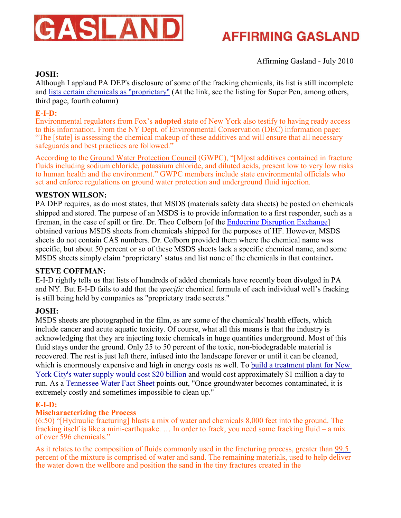

Affirming Gasland - July 2010

### **JOSH:**

Although I applaud PA DEP's disclosure of some of the fracking chemicals, its list is still incomplete and [lists certain chemicals as "proprietary"](http://www.dep.state.pa.us/dep/deputate/minres/Oilgas/FractListing.pdf) (At the link, see the listing for Super Pen, among others, third page, fourth column)

#### **E-I-D:**

Environmental regulators from Fox's **adopted** state of New York also testify to having ready access to this information. From the NY Dept. of Environmental Conservation (DEC) [information page](http://www.dec.ny.gov/energy/46288.html): "The [state] is assessing the chemical makeup of these additives and will ensure that all necessary safeguards and best practices are followed."

According to the [Ground Water Protection Council](http://www.energyindepth.org/wp-content/uploads/2009/03/oil-and-gas-regulation-report-final-with-cover-5-27-20091.pdf) (GWPC), "[M]ost additives contained in fracture fluids including sodium chloride, potassium chloride, and diluted acids, present low to very low risks to human health and the environment." GWPC members include state environmental officials who set and enforce regulations on ground water protection and underground fluid injection.

#### **WESTON WILSON:**

PA DEP requires, as do most states, that MSDS (materials safety data sheets) be posted on chemicals shipped and stored. The purpose of an MSDS is to provide information to a first responder, such as a fireman, in the case of spill or fire. Dr. Theo Colborn [of the [Endocrine Disruption Exchange](http://www.endocrinedisruption.com/home.php)] obtained various MSDS sheets from chemicals shipped for the purposes of HF. However, MSDS sheets do not contain CAS numbers. Dr. Colborn provided them where the chemical name was specific, but about 50 percent or so of these MSDS sheets lack a specific chemical name, and some MSDS sheets simply claim 'proprietary' status and list none of the chemicals in that container**.** 

#### **STEVE COFFMAN:**

E-I-D rightly tells us that lists of hundreds of added chemicals have recently been divulged in PA and NY. But E-I-D fails to add that the *specific* chemical formula of each individual well's fracking is still being held by companies as "proprietary trade secrets."

#### **JOSH:**

MSDS sheets are photographed in the film, as are some of the chemicals' health effects, which include cancer and acute aquatic toxicity. Of course, what all this means is that the industry is acknowledging that they are injecting toxic chemicals in huge quantities underground. Most of this fluid stays under the ground. Only 25 to 50 percent of the toxic, non-biodegradable material is recovered. The rest is just left there, infused into the landscape forever or until it can be cleaned, which is enormously expensive and high in energy costs as well. To [build a treatment plant for New](http://assembly.state.ny.us/mem/?ad=060&sh=story&story=34949) [York City's water supply would cost \\$20 billion](http://assembly.state.ny.us/mem/?ad=060&sh=story&story=34949) and would cost approximately \$1 million a day to run. As a [Tennessee Water Fact Sheet](http://www.gwpc.org/e-library/documents/state_fact_sheets/tennessee.pdf) points out, "Once groundwater becomes contaminated, it is extremely costly and sometimes impossible to clean up."

#### **E-I-D:**

#### **Mischaracterizing the Process**

(6:50) "[Hydraulic fracturing] blasts a mix of water and chemicals 8,000 feet into the ground. The fracking itself is like a mini-earthquake. … In order to frack, you need some fracking fluid – a mix of over 596 chemicals."

As it relates to the composition of fluids commonly used in the fracturing process, greater than [99.5](http://www.energyindepth.org/frac-fluid.pdf) [percent of the mixture](http://www.energyindepth.org/frac-fluid.pdf) is comprised of water and sand. The remaining materials, used to help deliver the water down the wellbore and position the sand in the tiny fractures created in the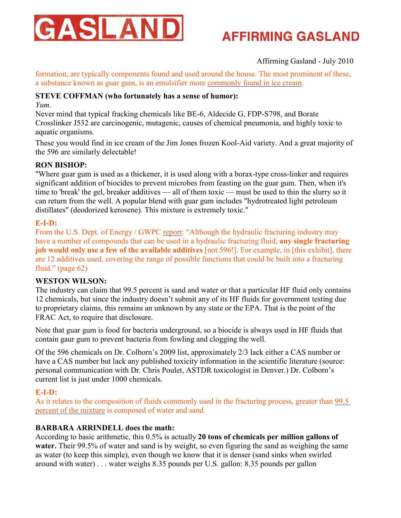

### Affirming Gasland - July 2010

formation, are typically components found and used around the house. The most prominent of these, a substance known as guar gum, is an emulsifier more [commonly found in ice cream](http://recipes.howstuffworks.com/ice-cream.htm).

### **STEVE COFFMAN (who fortunately has a sense of humor):**

*Yum.* 

Never mind that typical fracking chemicals like BE-6, Aldecide G, FDP-S798, and Borate Crosslinker J532 are carcinogenic, mutagenic, causes of chemical pneumonia, and highly toxic to aquatic organisms.

These you would find in ice cream of the Jim Jones frozen Kool-Aid variety. And a great majority of the 596 are similarly delectable!

### **RON BISHOP:**

"Where guar gum is used as a thickener, it is used along with a borax-type cross-linker and requires significant addition of biocides to prevent microbes from feasting on the guar gum. Then, when it's time to 'break' the gel, breaker additives — all of them toxic — must be used to thin the slurry so it can return from the well. A popular blend with guar gum includes "hydrotreated light petroleum distillates" (deodorized kerosene). This mixture is extremely toxic."

### **E-I-D:**

From the U.S. Dept. of Energy / GWPC [report](http://www.netl.doe.gov/technologies/oil-gas/publications/EPreports/Shale_Gas_Primer_2009.pdf): "Although the hydraulic fracturing industry may have a number of compounds that can be used in a hydraulic fracturing fluid, **any single fracturing job would only use a few of the available additives** [not 596!]. For example, in [this exhibit], there are 12 additives used, covering the range of possible functions that could be built into a fracturing fluid." (page 62)

### **WESTON WILSON:**

The industry can claim that 99.5 percent is sand and water or that a particular HF fluid only contains 12 chemicals, but since the industry doesn't submit any of its HF fluids for government testing due to proprietary claims, this remains an unknown by any state or the EPA. That is the point of the FRAC Act, to require that disclosure.

Note that guar gum is food for bacteria underground, so a biocide is always used in HF fluids that contain gaur gum to prevent bacteria from fowling and clogging the well.

Of the 596 chemicals on Dr. Colborn's 2009 list, approximately 2/3 lack either a CAS number or have a CAS number but lack any published toxicity information in the scientific literature (source: personal communication with Dr. Chris Poulet, ASTDR toxicologist in Denver.) Dr. Colborn's current list is just under 1000 chemicals.

### **E-I-D:**

As it relates to the composition of fluids commonly used in the fracturing process, greater than [99.5](http://www.energyindepth.org/frac-fluid.pdf) [percent of the mixture](http://www.energyindepth.org/frac-fluid.pdf) is composed of water and sand.

### **BARBARA ARRINDELL does the math:**

According to basic arithmetic, this 0.5% is actually **20 tons of chemicals per million gallons of water.** Their 99.5% of water and sand is by weight, so even figuring the sand as weighing the same as water (to keep this simple), even though we know that it is denser (sand sinks when swirled around with water) . . . water weighs 8.35 pounds per U.S. gallon: 8.35 pounds per gallon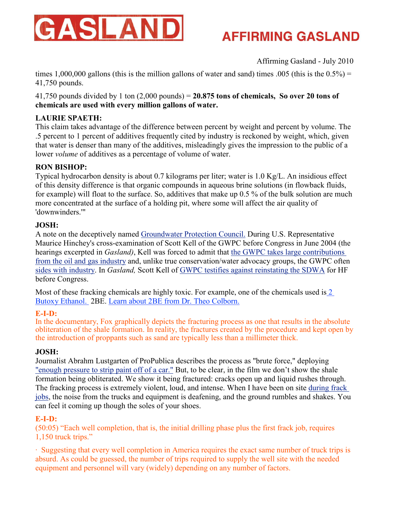

Affirming Gasland - July 2010

times 1,000,000 gallons (this is the million gallons of water and sand) times .005 (this is the  $0.5\%$ ) = 41,750 pounds.

41,750 pounds divided by 1 ton (2,000 pounds) = **20.875 tons of chemicals, So over 20 tons of chemicals are used with every million gallons of water.** 

### **LAURIE SPAETH:**

This claim takes advantage of the difference between percent by weight and percent by volume. The .5 percent to 1 percent of additives frequently cited by industry is reckoned by weight, which, given that water is denser than many of the additives, misleadingly gives the impression to the public of a lower *volume* of additives as a percentage of volume of water.

### **RON BISHOP:**

Typical hydrocarbon density is about 0.7 kilograms per liter; water is 1.0 Kg/L. An insidious effect of this density difference is that organic compounds in aqueous brine solutions (in flowback fluids, for example) will float to the surface. So, additives that make up 0.5 % of the bulk solution are much more concentrated at the surface of a holding pit, where some will affect the air quality of 'downwinders.'"

#### **JOSH:**

A note on the deceptively named [Groundwater Protection Council](http://www.gwpc.org/home/GWPC_Home.dwt). During U.S. Representative Maurice Hinchey's cross-examination of Scott Kell of the GWPC before Congress in June 2004 (the hearings excerpted in *Gasland)*, Kell was forced to admit that [the GWPC takes large contributions](http://resourcescommittee.house.gov/index.php?option=com_jcalpro&Itemid=32&extmode=view&extid=260) [from the oil and gas industry](http://resourcescommittee.house.gov/index.php?option=com_jcalpro&Itemid=32&extmode=view&extid=260) and, unlike true conservation/water advocacy groups, the GWPC often [sides with industry](http://fossil.energy.gov/programs/oilgas/publications/naturalgas_general/Shale_Gas_Primer_2009.pdf). In *Gasland,* Scott Kell of [GWPC testifies against reinstating the SDWA](http://www.gwpc.org/e-library/documents/general/Kell%20House%20Testimony%206-4-2009.pdf) for HF before Congress.

Most of these fracking chemicals are highly toxic. For example, one of the chemicals used i[s 2](http://wsppn.org/janitorial/tools/butoxy.htm)  [Butoxy Ethanol.](http://wsppn.org/janitorial/tools/butoxy.htm) 2BE. [Learn about 2BE from Dr. Theo Colborn.](http://www.prx.org/pieces/20015)

### **E-I-D:**

In the documentary, Fox graphically depicts the fracturing process as one that results in the absolute obliteration of the shale formation. In reality, the fractures created by the procedure and kept open by the introduction of proppants such as sand are typically less than a millimeter thick.

### **JOSH:**

Journalist Abrahm Lustgarten of ProPublica describes the process as "brute force," deploying ["enough pressure to strip paint off of a car."](http://www.propublica.org/article/natural-gas-drilling-what-we-dont-know-1231) But, to be clear, in the film we don't show the shale formation being obliterated. We show it being fractured: cracks open up and liquid rushes through. The fracking process is extremely violent, loud, and intense. When I have been on site [during frack](http://www.youtube.com/watch?v=PNagpWtKIvY&feature=related) [jobs](http://www.youtube.com/watch?v=PNagpWtKIvY&feature=related), the noise from the trucks and equipment is deafening, and the ground rumbles and shakes. You can feel it coming up though the soles of your shoes.

#### **E-I-D:**

(50:05) "Each well completion, that is, the initial drilling phase plus the first frack job, requires 1,150 truck trips."

· Suggesting that every well completion in America requires the exact same number of truck trips is absurd. As could be guessed, the number of trips required to supply the well site with the needed equipment and personnel will vary (widely) depending on any number of factors.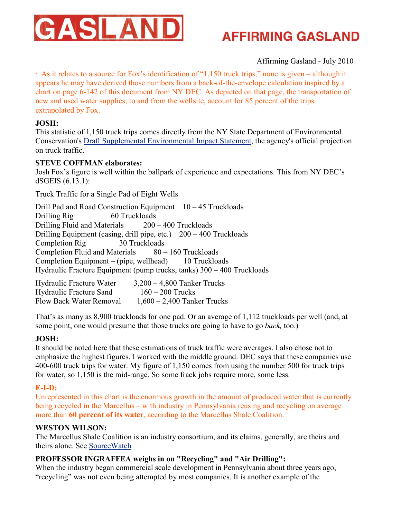

### Affirming Gasland - July 2010

· As it relates to a source for Fox's identification of "1,150 truck trips," none is given – although it appears he may have derived those numbers from a back-of-the-envelope calculation inspired by a chart on page 6-142 of this document from NY DEC. As depicted on that page, the transportation of new and used water supplies, to and from the wellsite, account for 85 percent of the trips extrapolated by Fox.

#### **JOSH:**

This statistic of 1,150 truck trips comes directly from the NY State Department of Environmental Conservation's [Draft Supplemental Environmental Impact Statement](http://www.dec.ny.gov/energy/58440.html), the agency's official projection on truck traffic.

### **STEVE COFFMAN elaborates:**

Josh Fox's figure is well within the ballpark of experience and expectations. This from NY DEC's dSGEIS (6.13.1):

Truck Traffic for a Single Pad of Eight Wells

Drill Pad and Road Construction Equipment 10 – 45 Truckloads Drilling Rig 60 Truckloads Drilling Fluid and Materials 200 – 400 Truckloads Drilling Equipment (casing, drill pipe, etc.) 200 – 400 Truckloads Completion Rig 30 Truckloads Completion Fluid and Materials  $80 - 160$  Truckloads Completion Equipment – (pipe, wellhead) 10 Truckloads Hydraulic Fracture Equipment (pump trucks, tanks) 300 – 400 Truckloads

| Hydraulic Fracture Water       | $3,200 - 4,800$ Tanker Trucks |
|--------------------------------|-------------------------------|
| <b>Hydraulic Fracture Sand</b> | $160 - 200$ Trucks            |
| Flow Back Water Removal        | $1,600 - 2,400$ Tanker Trucks |

That's as many as 8,900 truckloads for one pad. Or an average of 1,112 truckloads per well (and, at some point, one would presume that those trucks are going to have to go *back,* too.)

### **JOSH:**

It should be noted here that these estimations of truck traffic were averages. I also chose not to emphasize the highest figures. I worked with the middle ground. DEC says that these companies use 400-600 truck trips for water. My figure of 1,150 comes from using the number 500 for truck trips for water, so 1,150 is the mid-range. So some frack jobs require more, some less.

### **E-I-D:**

Unrepresented in this chart is the enormous growth in the amount of produced water that is currently being recycled in the Marcellus – with industry in Pennsylvania reusing and recycling on average more than **60 percent of its water**, according to the Marcellus Shale Coalition.

### **WESTON WILSON:**

The Marcellus Shale Coalition is an industry consortium, and its claims, generally, are theirs and theirs alone. See [SourceWatch](http://www.sourcewatch.org/index.php?title=Marcellus_Shale_Coalition)

### PROFESSOR INGRAFFEA weighs in on "Recycling" and "Air Drilling":

When the industry began commercial scale development in Pennsylvania about three years ago, "recycling" was not even being attempted by most companies. It is another example of the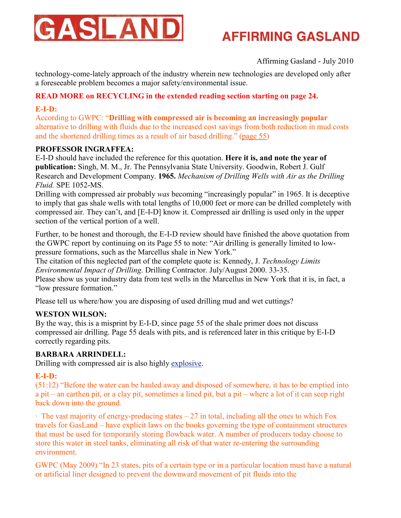

Affirming Gasland - July 2010

technology-come-lately approach of the industry wherein new technologies are developed only after a foreseeable problem becomes a major safety/environmental issue.

### **READ MORE on RECYCLING in the extended reading section starting on page 24.**

### **E-I-D:**

According to GWPC: "**Drilling with compressed air is becoming an increasingly popular** alternative to drilling with fluids due to the increased cost savings from both reduction in mud costs and the shortened drilling times as a result of air based drilling." [\(page 55](http://www.netl.doe.gov/technologies/oil-gas/publications/EPreports/Shale_Gas_Primer_2009.pdf))

### **PROFESSOR INGRAFFEA:**

E-I-D should have included the reference for this quotation. **Here it is, and note the year of publication:** Singh, M. M., Jr. The Pennsylvania State University. Goodwin, Robert J. Gulf Research and Development Company. **1965.** *Mechanism of Drilling Wells with Air as the Drilling Fluid.* SPE 1052-MS.

Drilling with compressed air probably *was* becoming "increasingly popular" in 1965. It is deceptive to imply that gas shale wells with total lengths of 10,000 feet or more can be drilled completely with compressed air. They can't, and [E-I-D] know it. Compressed air drilling is used only in the upper section of the vertical portion of a well.

Further, to be honest and thorough, the E-I-D review should have finished the above quotation from the GWPC report by continuing on its Page 55 to note: "Air drilling is generally limited to lowpressure formations, such as the Marcellus shale in New York."

The citation of this neglected part of the complete quote is: Kennedy, J. *Technology Limits Environmental Impact of Drilling*. Drilling Contractor. July/August 2000. 33-35.

Please show us your industry data from test wells in the Marcellus in New York that it is, in fact, a "low pressure formation."

Please tell us where/how you are disposing of used drilling mud and wet cuttings?

### **WESTON WILSON:**

By the way, this is a misprint by E-I-D, since page 55 of the shale primer does not discuss compressed air drilling. Page 55 deals with pits, and is referenced later in this critique by E-I-D correctly regarding pits.

### **BARBARA ARRINDELL:**

Drilling with compressed air is also highly [explosive](http://drillingcontractor.org/dcpi/dc-marapr07/DC_Mar07_malloy.pdf).

### **E-I-D:**

(51:12) "Before the water can be hauled away and disposed of somewhere, it has to be emptied into a pit – an earthen pit, or a clay pit, sometimes a lined pit, but a pit – where a lot of it can seep right back down into the ground.

 $\cdot$  The vast majority of energy-producing states  $-27$  in total, including all the ones to which Fox travels for GasLand – have explicit laws on the books governing the type of containment structures that must be used for temporarily storing flowback water. A number of producers today choose to store this water in steel tanks, eliminating all risk of that water re-entering the surrounding environment.

GWPC (May 2009) "In 23 states, pits of a certain type or in a particular location must have a natural or artificial liner designed to prevent the downward movement of pit fluids into the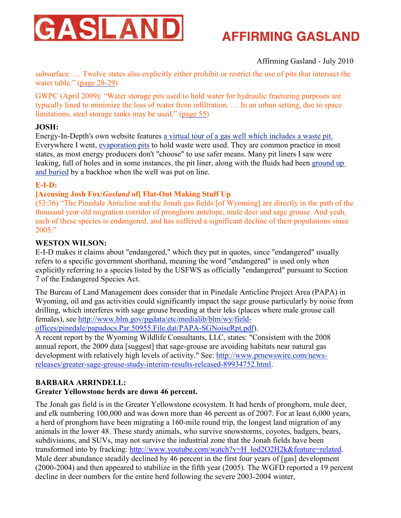

### Affirming Gasland - July 2010

subsurface. … Twelve states also explicitly either prohibit or restrict the use of pits that intersect the water table." [\(page 28-29\)](http://www.energyindepth.org/wp-content/uploads/2009/03/oil-and-gas-regulation-report-final-with-cover-5-27-20091.pdf)

GWPC (April 2009): "Water storage pits used to hold water for hydraulic fracturing purposes are typically lined to minimize the loss of water from infiltration. … In an urban setting, due to space limitations, steel storage tanks may be used." [\(page 55\)](http://www.netl.doe.gov/technologies/oil-gas/publications/EPreports/Shale_Gas_Primer_2009.pdf)

### **JOSH:**

Energy-In-Depth's own website features [a virtual tour of a gas well which includes a waste pit.](http://www.energyindepth.org/rig/index.html) Everywhere I went, [evaporation pits](http://coloradoindependent.com/56391/frequent-pit-liner-leaks-argue-against-hickenlooper-call-for-less-regs) to hold waste were used. They are common practice in most states, as most energy producers don't "choose" to use safer means. Many pit liners I saw were leaking, full of holes and in some instances, the pit liner, along with the fluids had been [ground up](http://www.youtube.com/watch?v=-ZijSwabuc4) [and buried](http://www.youtube.com/watch?v=-ZijSwabuc4) by a backhoe when the well was put on line.

### **E-I-D:**

### **[Accusing Josh Fox/***Gasland* **of] Flat-Out Making Stuff Up**

(53:36) "The Pinedale Anticline and the Jonah gas fields [of Wyoming] are directly in the path of the thousand year old migration corridor of pronghorn antelope, mule deer and sage grouse. And yeah, each of these species is endangered, and has suffered a significant decline of their populations since 2005."

### **WESTON WILSON:**

E-I-D makes it claims about "endangered," which they put in quotes, since "endangered" usually refers to a specific government shorthand, meaning the word "endangered" is used only when explicitly referring to a species listed by the USFWS as officially "endangered" pursuant to Section 7 of the Endangered Species Act.

The Bureau of Land Management does consider that in Pinedale Anticline Project Area (PAPA) in Wyoming, oil and gas activities could significantly impact the sage grouse particularly by noise from drilling, which interferes with sage grouse breeding at their leks (places where male grouse call females), see [http://www.blm.gov/pgdata/etc/medialib/blm/wy/field](http://www.blm.gov/pgdata/etc/medialib/blm/wy/field-offices/pinedale/papadocs.Par.50955.File.dat/PAPA-SGNoiseRpt.pdf)-

[offices/pinedale/papadocs.Par.50955.File.dat/PAPA-SGNoiseRpt.pdf](http://www.blm.gov/pgdata/etc/medialib/blm/wy/field-offices/pinedale/papadocs.Par.50955.File.dat/PAPA-SGNoiseRpt.pdf)).

A recent report by the Wyoming Wildlife Consultants, LLC, states: "Consistent with the 2008 annual report, the 2009 data [suggest] that sage-grouse are avoiding habitats near natural gas development with relatively high levels of activity." See: [http://www.prnewswire.com/news](http://www.prnewswire.com/news-releases/greater-sage-grouse-study-interim-results-released-89934752.html)[releases/greater-sage-grouse-study-interim-results-released-89934752.html](http://www.prnewswire.com/news-releases/greater-sage-grouse-study-interim-results-released-89934752.html).

### **BARBARA ARRINDELL:**

### **Greater Yellowstone herds are down 46 percent.**

The Jonah gas field is in the Greater Yellowstone ecosystem. It had herds of pronghorn, mule deer, and elk numbering 100,000 and was down more than 46 percent as of 2007. For at least 6,000 years, a herd of pronghorn have been migrating a 160-mile round trip, the longest land migration of any animals in the lower 48. These sturdy animals, who survive snowstorms, coyotes, badgers, bears, subdivisions, and SUVs, may not survive the industrial zone that the Jonah fields have been transformed into by fracking: [http://www.youtube.com/watch?v=H\\_lod2O2H2k&feature=related](http://www.youtube.com/watch?v=H_lod2O2H2k&feature=related). Mule deer abundance steadily declined by 46 percent in the first four years of [gas] development (2000-2004) and then appeared to stabilize in the fifth year (2005). The WGFD reported a 19 percent decline in deer numbers for the entire herd following the severe 2003-2004 winter,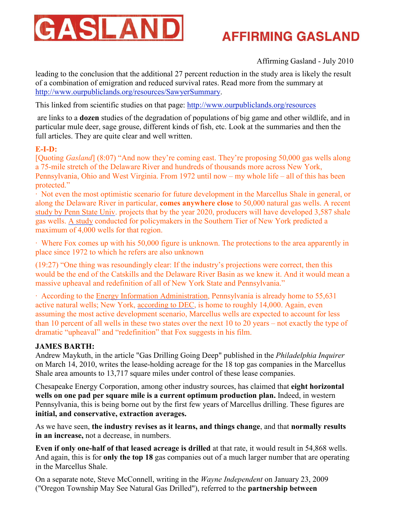

### Affirming Gasland - July 2010

leading to the conclusion that the additional 27 percent reduction in the study area is likely the result of a combination of emigration and reduced survival rates. Read more from the summary at <http://www.ourpubliclands.org/resources/SawyerSummary>.

This linked from scientific studies on that page:<http://www.ourpubliclands.org/resources>

 are links to a **dozen** studies of the degradation of populations of big game and other wildlife, and in particular mule deer, sage grouse, different kinds of fish, etc. Look at the summaries and then the full articles. They are quite clear and well written.

#### **E-I-D:**

[Quoting *Gasland*] (8:07) "And now they're coming east. They're proposing 50,000 gas wells along a 75-mile stretch of the Delaware River and hundreds of thousands more across New York, Pennsylvania, Ohio and West Virginia. From 1972 until now – my whole life – all of this has been protected."

· Not even the most optimistic scenario for future development in the Marcellus Shale in general, or along the Delaware River in particular, **comes anywhere close** to 50,000 natural gas wells. A recent [study by Penn State Univ](http://marcelluscoalition.org/2010/05/new-study-marcellus-shale-expected-to-create-212000-new-jobs-by-2020-%E2%80%93-on-top-of-thousands-already-being-created-now/). projects that by the year 2020, producers will have developed 3,587 shale gas wells. [A study](http://www.energyindepth.org/wp-content/uploads/2009/03/Marcellus-Broome_County-Final-9-09.pdf) conducted for policymakers in the Southern Tier of New York predicted a maximum of 4,000 wells for that region.

· Where Fox comes up with his 50,000 figure is unknown. The protections to the area apparently in place since 1972 to which he refers are also unknown

(19:27) "One thing was resoundingly clear: If the industry's projections were correct, then this would be the end of the Catskills and the Delaware River Basin as we knew it. And it would mean a massive upheaval and redefinition of all of New York State and Pennsylvania."

· According to the [Energy Information Administration](http://www.eia.doe.gov/dnav/ng/ng_prod_wells_s1_a.htm), Pennsylvania is already home to 55,631 active natural wells; New York, [according to DEC](http://www.dec.ny.gov/energy/205.html), is home to roughly 14,000. Again, even assuming the most active development scenario, Marcellus wells are expected to account for less than 10 percent of all wells in these two states over the next 10 to 20 years – not exactly the type of dramatic "upheaval" and "redefinition" that Fox suggests in his film.

### **JAMES BARTH:**

Andrew Maykuth, in the article "Gas Drilling Going Deep" published in the *Philadelphia Inquirer* on March 14, 2010, writes the lease-holding acreage for the 18 top gas companies in the Marcellus Shale area amounts to 13,717 square miles under control of these lease companies.

Chesapeake Energy Corporation, among other industry sources, has claimed that **eight horizontal wells on one pad per square mile is a current optimum production plan.** Indeed, in western Pennsylvania, this is being borne out by the first few years of Marcellus drilling. These figures are **initial, and conservative, extraction averages.** 

As we have seen, **the industry revises as it learns, and things change**, and that **normally results in an increase,** not a decrease, in numbers.

**Even if only one-half of that leased acreage is drilled** at that rate, it would result in 54,868 wells. And again, this is for **only the top 18** gas companies out of a much larger number that are operating in the Marcellus Shale.

On a separate note, Steve McConnell, writing in the *Wayne Independent* on January 23, 2009 ("Oregon Township May See Natural Gas Drilled"), referred to the **partnership between**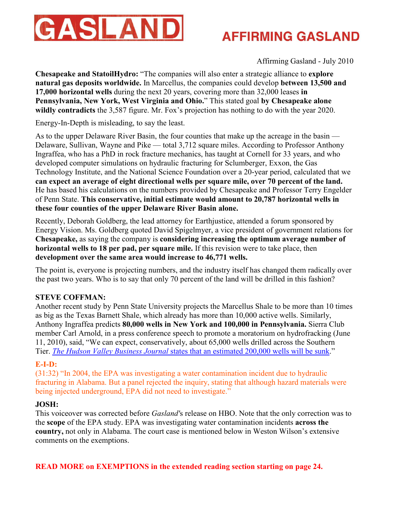

Affirming Gasland - July 2010

**Chesapeake and StatoilHydro:** "The companies will also enter a strategic alliance to **explore natural gas deposits worldwide.** In Marcellus, the companies could develop **between 13,500 and 17,000 horizontal wells** during the next 20 years, covering more than 32,000 leases **in Pennsylvania, New York, West Virginia and Ohio.**" This stated goal **by Chesapeake alone wildly contradicts** the 3,587 figure. Mr. Fox's projection has nothing to do with the year 2020.

Energy-In-Depth is misleading, to say the least.

As to the upper Delaware River Basin, the four counties that make up the acreage in the basin — Delaware, Sullivan, Wayne and Pike — total 3,712 square miles. According to Professor Anthony Ingraffea, who has a PhD in rock fracture mechanics, has taught at Cornell for 33 years, and who developed computer simulations on hydraulic fracturing for Sclumberger, Exxon, the Gas Technology Institute, and the National Science Foundation over a 20-year period, calculated that we **can expect an average of eight directional wells per square mile, over 70 percent of the land.** He has based his calculations on the numbers provided by Chesapeake and Professor Terry Engelder of Penn State. **This conservative, initial estimate would amount to 20,787 horizontal wells in these four counties of the upper Delaware River Basin alone.**

Recently, Deborah Goldberg, the lead attorney for Earthjustice, attended a forum sponsored by Energy Vision. Ms. Goldberg quoted David Spigelmyer, a vice president of government relations for **Chesapeake,** as saying the company is **considering increasing the optimum average number of horizontal wells to 18 per pad, per square mile.** If this revision were to take place, then **development over the same area would increase to 46,771 wells.**

The point is, everyone is projecting numbers, and the industry itself has changed them radically over the past two years. Who is to say that only 70 percent of the land will be drilled in this fashion?

### **STEVE COFFMAN:**

Another recent study by Penn State University projects the Marcellus Shale to be more than 10 times as big as the Texas Barnett Shale, which already has more than 10,000 active wells. Similarly, Anthony Ingraffea predicts **80,000 wells in New York and 100,000 in Pennsylvania.** Sierra Club member Carl Arnold, in a press conference speech to promote a moratorium on hydrofracking (June 11, 2010), said, "We can expect, conservatively, about 65,000 wells drilled across the Southern Tier. *The Hudson Valley Business Journal* [states that an estimated 200,000 wells will be sunk](http://www.indypendent.org/2010/06/14/hydrofracking-june11-rally/)."

### **E-I-D:**

(31:32) "In 2004, the EPA was investigating a water contamination incident due to hydraulic fracturing in Alabama. But a panel rejected the inquiry, stating that although hazard materials were being injected underground, EPA did not need to investigate."

### **JOSH:**

This voiceover was corrected before *Gasland'*s release on HBO. Note that the only correction was to the **scope** of the EPA study. EPA was investigating water contamination incidents **across the country,** not only in Alabama. The court case is mentioned below in Weston Wilson's extensive comments on the exemptions.

**READ MORE on EXEMPTIONS in the extended reading section starting on page 24.**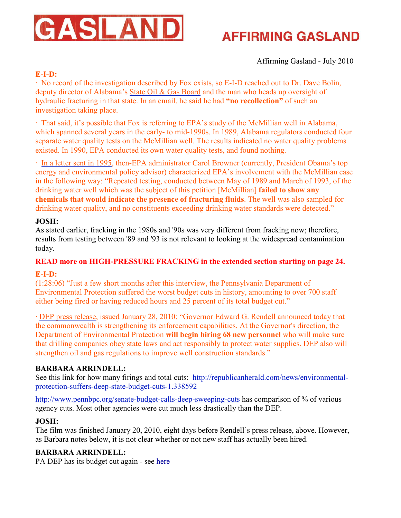

### Affirming Gasland - July 2010

### **E-I-D:**

· No record of the investigation described by Fox exists, so E-I-D reached out to Dr. Dave Bolin, deputy director of Alabama's [State Oil & Gas Board](http://www.gsa.state.al.us/ogb/ogb.html) and the man who heads up oversight of hydraulic fracturing in that state. In an email, he said he had **"no recollection"** of such an investigation taking place.

· That said, it's possible that Fox is referring to EPA's study of the McMillian well in Alabama, which spanned several years in the early- to mid-1990s. In 1989, Alabama regulators conducted four separate water quality tests on the McMillian well. The results indicated no water quality problems existed. In 1990, EPA conducted its own water quality tests, and found nothing.

· [In a letter sent in 1995,](http://www.energyindepth.org/PDF/Browner-Letter-Full-Response.pdf) then-EPA administrator Carol Browner (currently, President Obama's top energy and environmental policy advisor) characterized EPA's involvement with the McMillian case in the following way: "Repeated testing, conducted between May of 1989 and March of 1993, of the drinking water well which was the subject of this petition [McMillian] **failed to show any chemicals that would indicate the presence of fracturing fluids**. The well was also sampled for drinking water quality, and no constituents exceeding drinking water standards were detected."

#### **JOSH:**

As stated earlier, fracking in the 1980s and '90s was very different from fracking now; therefore, results from testing between '89 and '93 is not relevant to looking at the widespread contamination today.

### **READ more on HIGH-PRESSURE FRACKING in the extended section starting on page 24. E-I-D:**

(1:28:06) "Just a few short months after this interview, the Pennsylvania Department of Environmental Protection suffered the worst budget cuts in history, amounting to over 700 staff either being fired or having reduced hours and 25 percent of its total budget cut."

· [DEP press release](http://www.prnewswire.com/news-releases/governor-rendell-pa-taking-aggressive-action-to-protect-public-environment-as-marcellus-shale-drilling-operations-expands-82940427.html), issued January 28, 2010: "Governor Edward G. Rendell announced today that the commonwealth is strengthening its enforcement capabilities. At the Governor's direction, the Department of Environmental Protection **will begin hiring 68 new personnel** who will make sure that drilling companies obey state laws and act responsibly to protect water supplies. DEP also will strengthen oil and gas regulations to improve well construction standards."

### **BARBARA ARRINDELL:**

See this link for how many firings and total cuts: [http://republicanherald.com/news/environmental](http://republicanherald.com/news/environmental-protection-suffers-deep-state-budget-cuts-1.338592)[protection-suffers-deep-state-budget-cuts-1.338592](http://republicanherald.com/news/environmental-protection-suffers-deep-state-budget-cuts-1.338592)

<http://www.pennbpc.org/senate-budget-calls-deep-sweeping-cuts> has comparison of % of various agency cuts. Most other agencies were cut much less drastically than the DEP.

### **JOSH:**

The film was finished January 20, 2010, eight days before Rendell's press release, above. However, as Barbara notes below, it is not clear whether or not new staff has actually been hired.

### **BARBARA ARRINDELL:**

PA DEP has its budget cut again - see [here](http://pabrownfieldsenvironmentallaw.foxrothschild.com/2010/06/articles/pa-budget-results-in-mores-cuts-for-padep/)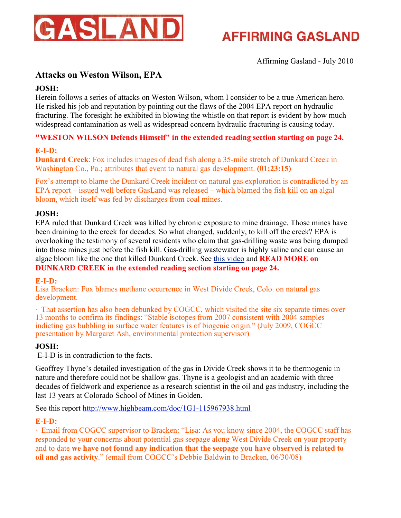

Affirming Gasland - July 2010

### **Attacks on Weston Wilson, EPA**

### **JOSH:**

Herein follows a series of attacks on Weston Wilson, whom I consider to be a true American hero. He risked his job and reputation by pointing out the flaws of the 2004 EPA report on hydraulic fracturing. The foresight he exhibited in blowing the whistle on that report is evident by how much widespread contamination as well as widespread concern hydraulic fracturing is causing today.

### **"WESTON WILSON Defends Himself" in the extended reading section starting on page 24.**

### **E-I-D:**

**Dunkard Creek**: Fox includes images of dead fish along a 35-mile stretch of Dunkard Creek in Washington Co., Pa.; attributes that event to natural gas development. **(01:23:15)**

Fox's attempt to blame the Dunkard Creek incident on natural gas exploration is contradicted by an EPA report – issued well before GasLand was released – which blamed the fish kill on an algal bloom, which itself was fed by discharges from coal mines.

### **JOSH:**

EPA ruled that Dunkard Creek was killed by chronic exposure to mine drainage. Those mines have been draining to the creek for decades. So what changed, suddenly, to kill off the creek? EPA is overlooking the testimony of several residents who claim that gas-drilling waste was being dumped into those mines just before the fish kill. Gas-drilling wastewater is highly saline and can cause an algae bloom like the one that killed Dunkard Creek. See [this video](http://un-naturalgas.org/weblog/2010/06/yes-dunkard-creek-was-poisoned-by-gas-drilling-waste-heres-how/) and **READ MORE on DUNKARD CREEK in the extended reading section starting on page 24.** 

### **E-I-D:**

Lisa Bracken: Fox blames methane occurrence in West Divide Creek, Colo. on natural gas development.

· That assertion has also been debunked by COGCC, which visited the site six separate times over 13 months to confirm its findings: "Stable isotopes from 2007 consistent with 2004 samples indicting gas bubbling in surface water features is of biogenic origin." (July 2009, COGCC presentation by Margaret Ash, environmental protection supervisor)

### **JOSH:**

E-I-D is in contradiction to the facts.

Geoffrey Thyne's detailed investigation of the gas in Divide Creek shows it to be thermogenic in nature and therefore could not be shallow gas. Thyne is a geologist and an academic with three decades of fieldwork and experience as a research scientist in the oil and gas industry, including the last 13 years at Colorado School of Mines in Golden.

See this report<http://www.highbeam.com/doc/1G1-115967938.html>

### **E-I-D:**

· Email from COGCC supervisor to Bracken: "Lisa: As you know since 2004, the COGCC staff has responded to your concerns about potential gas seepage along West Divide Creek on your property and to date **we have not found any indication that the seepage you have observed is related to oil and gas activity**." (email from COGCC's Debbie Baldwin to Bracken, 06/30/08)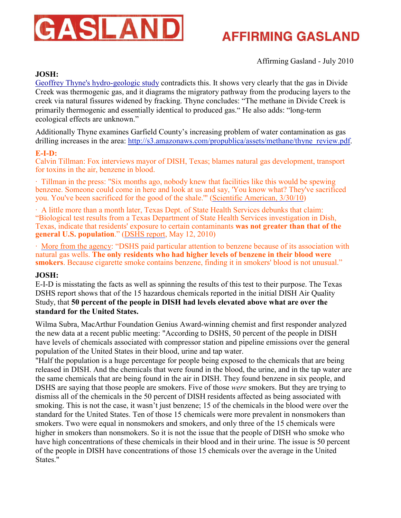

Affirming Gasland - July 2010

### **JOSH:**

[Geoffrey Thyne's hydro-geologic study](http://www.damascuscitizens.org/Colorado_COGCC-Hydogeologic-Thyne.pdf) contradicts this. It shows very clearly that the gas in Divide Creek was thermogenic gas, and it diagrams the migratory pathway from the producing layers to the creek via natural fissures widened by fracking. Thyne concludes: "The methane in Divide Creek is primarily thermogenic and essentially identical to produced gas." He also adds: "long-term ecological effects are unknown."

Additionally Thyne examines Garfield County's increasing problem of water contamination as gas drilling increases in the area: [http://s3.amazonaws.com/propublica/assets/methane/thyne\\_review.pdf](http://s3.amazonaws.com/propublica/assets/methane/thyne_review.pdf).

#### **E-I-D:**

Calvin Tillman: Fox interviews mayor of DISH, Texas; blames natural gas development, transport for toxins in the air, benzene in blood.

· Tillman in the press: "Six months ago, nobody knew that facilities like this would be spewing benzene. Someone could come in here and look at us and say, 'You know what? They've sacrificed you. You've been sacrificed for the good of the shale.'" [\(Scientific American, 3/30/10](http://www.scientificamerican.com/article.cfm?id=shale-gas-and-hydraulic-fracturing))

· A little more than a month later, Texas Dept. of State Health Services debunks that claim: "Biological test results from a Texas Department of State Health Services investigation in Dish, Texas, indicate that residents' exposure to certain contaminants **was not greater than that of the general U.S. population**." [\(DSHS report](http://www.dshs.state.tx.us/epitox/consults/dish_ei_2010.pdf), May 12, 2010)

· [More from the agency](http://www.dshs.state.tx.us/epitox/consults/dish_ei_2010.pdf): "DSHS paid particular attention to benzene because of its association with natural gas wells. **The only residents who had higher levels of benzene in their blood were smokers**. Because cigarette smoke contains benzene, finding it in smokers' blood is not unusual."

### **JOSH:**

E-I-D is misstating the facts as well as spinning the results of this test to their purpose. The Texas DSHS report shows that of the 15 hazardous chemicals reported in the initial DISH Air Quality Study, that **50 percent of the people in DISH had levels elevated above what are over the standard for the United States.**

Wilma Subra, MacArthur Foundation Genius Award-winning chemist and first responder analyzed the new data at a recent public meeting: "According to DSHS, 50 percent of the people in DISH have levels of chemicals associated with compressor station and pipeline emissions over the general population of the United States in their blood, urine and tap water.

"Half the population is a huge percentage for people being exposed to the chemicals that are being released in DISH. And the chemicals that were found in the blood, the urine, and in the tap water are the same chemicals that are being found in the air in DISH. They found benzene in six people, and DSHS are saying that those people are smokers. Five of those *were* smokers. But they are trying to dismiss all of the chemicals in the 50 percent of DISH residents affected as being associated with smoking. This is not the case, it wasn't just benzene; 15 of the chemicals in the blood were over the standard for the United States. Ten of those 15 chemicals were more prevalent in nonsmokers than smokers. Two were equal in nonsmokers and smokers, and only three of the 15 chemicals were higher in smokers than nonsmokers. So it is not the issue that the people of DISH who smoke who have high concentrations of these chemicals in their blood and in their urine. The issue is 50 percent of the people in DISH have concentrations of those 15 chemicals over the average in the United States."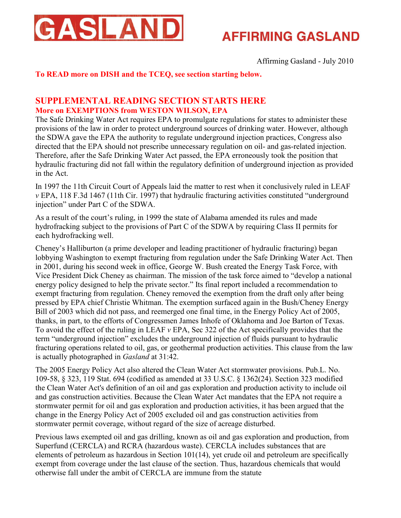

Affirming Gasland - July 2010

### **To READ more on DISH and the TCEQ, see section starting below.**

### **SUPPLEMENTAL READING SECTION STARTS HERE More on EXEMPTIONS from WESTON WILSON, EPA**

The Safe Drinking Water Act requires EPA to promulgate regulations for states to administer these provisions of the law in order to protect underground sources of drinking water. However, although the SDWA gave the EPA the authority to regulate underground injection practices, Congress also directed that the EPA should not prescribe unnecessary regulation on oil- and gas-related injection. Therefore, after the Safe Drinking Water Act passed, the EPA erroneously took the position that hydraulic fracturing did not fall within the regulatory definition of underground injection as provided in the Act.

In 1997 the 11th Circuit Court of Appeals laid the matter to rest when it conclusively ruled in LEAF *v* EPA, 118 F.3d 1467 (11th Cir. 1997) that hydraulic fracturing activities constituted "underground injection" under Part C of the SDWA.

As a result of the court's ruling, in 1999 the state of Alabama amended its rules and made hydrofracking subject to the provisions of Part C of the SDWA by requiring Class II permits for each hydrofracking well.

Cheney's Halliburton (a prime developer and leading practitioner of hydraulic fracturing) began lobbying Washington to exempt fracturing from regulation under the Safe Drinking Water Act. Then in 2001, during his second week in office, George W. Bush created the Energy Task Force, with Vice President Dick Cheney as chairman. The mission of the task force aimed to "develop a national energy policy designed to help the private sector." Its final report included a recommendation to exempt fracturing from regulation. Cheney removed the exemption from the draft only after being pressed by EPA chief Christie Whitman. The exemption surfaced again in the Bush/Cheney Energy Bill of 2003 which did not pass, and reemerged one final time, in the Energy Policy Act of 2005, thanks, in part, to the efforts of Congressmen James Inhofe of Oklahoma and Joe Barton of Texas. To avoid the effect of the ruling in LEAF *v* EPA, Sec 322 of the Act specifically provides that the term "underground injection" excludes the underground injection of fluids pursuant to hydraulic fracturing operations related to oil, gas, or geothermal production activities. This clause from the law is actually photographed in *Gasland* at 31:42.

The 2005 Energy Policy Act also altered the Clean Water Act stormwater provisions. Pub.L. No. 109-58, § 323, 119 Stat. 694 (codified as amended at 33 U.S.C. § 1362(24). Section 323 modified the Clean Water Act's definition of an oil and gas exploration and production activity to include oil and gas construction activities. Because the Clean Water Act mandates that the EPA not require a stormwater permit for oil and gas exploration and production activities, it has been argued that the change in the Energy Policy Act of 2005 excluded oil and gas construction activities from stormwater permit coverage, without regard of the size of acreage disturbed.

Previous laws exempted oil and gas drilling, known as oil and gas exploration and production, from Superfund (CERCLA) and RCRA (hazardous waste). CERCLA includes substances that are elements of petroleum as hazardous in Section 101(14), yet crude oil and petroleum are specifically exempt from coverage under the last clause of the section. Thus, hazardous chemicals that would otherwise fall under the ambit of CERCLA are immune from the statute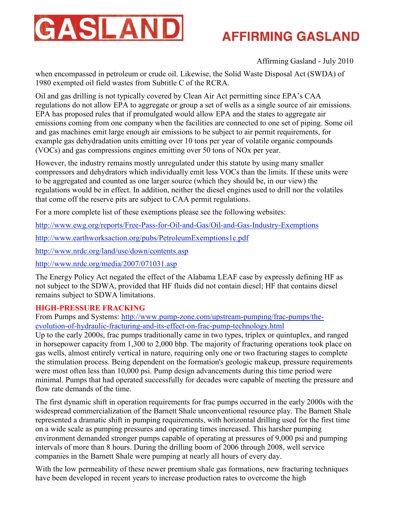

### Affirming Gasland - July 2010

when encompassed in petroleum or crude oil. Likewise, the Solid Waste Disposal Act (SWDA) of 1980 exempted oil field wastes from Subtitle C of the RCRA.

Oil and gas drilling is not typically covered by Clean Air Act permitting since EPA's CAA regulations do not allow EPA to aggregate or group a set of wells as a single source of air emissions. EPA has proposed rules that if promulgated would allow EPA and the states to aggregate air emissions coming from one company when the facilities are connected to one set of piping. Some oil and gas machines emit large enough air emissions to be subject to air permit requirements, for example gas dehydradation units emitting over 10 tons per year of volatile organic compounds (VOCs) and gas compressions engines emitting over 50 tons of NOx per year.

However, the industry remains mostly unregulated under this statute by using many smaller compressors and dehydrators which individually emit less VOCs than the limits. If these units were to be aggregated and counted as one larger source (which they should be, in our view) the regulations would be in effect. In addition, neither the diesel engines used to drill nor the volatiles that come off the reserve pits are subject to CAA permit regulations.

For a more complete list of these exemptions please see the following websites:

<http://www.ewg.org/reports/Free-Pass-for-Oil-and-Gas/Oil-and-Gas-Industry-Exemptions>

<http://www.earthworksaction.org/pubs/PetroleumExemptions1c.pdf>

<http://www.nrdc.org/land/use/down/contents.asp>

<http://www.nrdc.org/media/2007/071031.asp>

The Energy Policy Act negated the effect of the Alabama LEAF case by expressly defining HF as not subject to the SDWA, provided that HF fluids did not contain diesel; HF that contains diesel remains subject to SDWA limitations.

### **HIGH-PRESSURE FRACKING**

From Pumps and Systems: [http://www.pump-zone.com/upstream-pumping/frac-pumps/the](http://www.pump-zone.com/upstream-pumping/frac-pumps/the-evolution-of-hydraulic-fracturing-and-its-effect-on-frac-pump-technology.html)[evolution-of-hydraulic-fracturing-and-its-effect-on-frac-pump-technology.html](http://www.pump-zone.com/upstream-pumping/frac-pumps/the-evolution-of-hydraulic-fracturing-and-its-effect-on-frac-pump-technology.html)

Up to the early 2000s, frac pumps traditionally came in two types, triplex or quintuplex, and ranged in horsepower capacity from 1,300 to 2,000 bhp. The majority of fracturing operations took place on gas wells, almost entirely vertical in nature, requiring only one or two fracturing stages to complete the stimulation process. Being dependent on the formation's geologic makeup, pressure requirements were most often less than 10,000 psi. Pump design advancements during this time period were minimal. Pumps that had operated successfully for decades were capable of meeting the pressure and flow rate demands of the time.

The first dynamic shift in operation requirements for frac pumps occurred in the early 2000s with the widespread commercialization of the Barnett Shale unconventional resource play. The Barnett Shale represented a dramatic shift in pumping requirements, with horizontal drilling used for the first time on a wide scale as pumping pressures and operating times increased. This harsher pumping environment demanded stronger pumps capable of operating at pressures of 9,000 psi and pumping intervals of more than 8 hours. During the drilling boom of 2006 through 2008, well service companies in the Barnett Shale were pumping at nearly all hours of every day.

With the low permeability of these newer premium shale gas formations, new fracturing techniques have been developed in recent years to increase production rates to overcome the high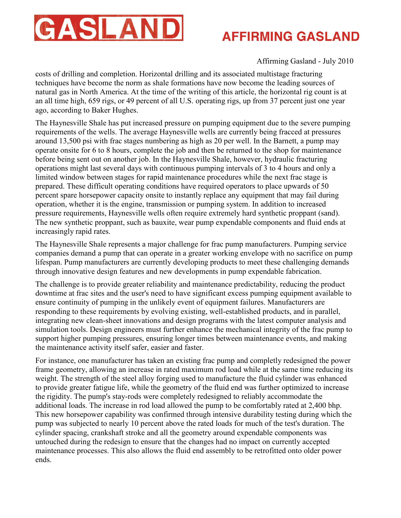

### Affirming Gasland - July 2010

costs of drilling and completion. Horizontal drilling and its associated multistage fracturing techniques have become the norm as shale formations have now become the leading sources of natural gas in North America. At the time of the writing of this article, the horizontal rig count is at an all time high, 659 rigs, or 49 percent of all U.S. operating rigs, up from 37 percent just one year ago, according to Baker Hughes.

The Haynesville Shale has put increased pressure on pumping equipment due to the severe pumping requirements of the wells. The average Haynesville wells are currently being fracced at pressures around 13,500 psi with frac stages numbering as high as 20 per well. In the Barnett, a pump may operate onsite for 6 to 8 hours, complete the job and then be returned to the shop for maintenance before being sent out on another job. In the Haynesville Shale, however, hydraulic fracturing operations might last several days with continuous pumping intervals of 3 to 4 hours and only a limited window between stages for rapid maintenance procedures while the next frac stage is prepared. These difficult operating conditions have required operators to place upwards of 50 percent spare horsepower capacity onsite to instantly replace any equipment that may fail during operation, whether it is the engine, transmission or pumping system. In addition to increased pressure requirements, Haynesville wells often require extremely hard synthetic proppant (sand). The new synthetic proppant, such as bauxite, wear pump expendable components and fluid ends at increasingly rapid rates.

The Haynesville Shale represents a major challenge for frac pump manufacturers. Pumping service companies demand a pump that can operate in a greater working envelope with no sacrifice on pump lifespan. Pump manufacturers are currently developing products to meet these challenging demands through innovative design features and new developments in pump expendable fabrication.

The challenge is to provide greater reliability and maintenance predictability, reducing the product downtime at frac sites and the user's need to have significant excess pumping equipment available to ensure continuity of pumping in the unlikely event of equipment failures. Manufacturers are responding to these requirements by evolving existing, well-established products, and in parallel, integrating new clean-sheet innovations and design programs with the latest computer analysis and simulation tools. Design engineers must further enhance the mechanical integrity of the frac pump to support higher pumping pressures, ensuring longer times between maintenance events, and making the maintenance activity itself safer, easier and faster.

For instance, one manufacturer has taken an existing frac pump and completly redesigned the power frame geometry, allowing an increase in rated maximum rod load while at the same time reducing its weight. The strength of the steel alloy forging used to manufacture the fluid cylinder was enhanced to provide greater fatigue life, while the geometry of the fluid end was further optimized to increase the rigidity. The pump's stay-rods were completely redesigned to reliably accommodate the additional loads. The increase in rod load allowed the pump to be comfortably rated at 2,400 bhp. This new horsepower capability was confirmed through intensive durability testing during which the pump was subjected to nearly 10 percent above the rated loads for much of the test's duration. The cylinder spacing, crankshaft stroke and all the geometry around expendable components was untouched during the redesign to ensure that the changes had no impact on currently accepted maintenance processes. This also allows the fluid end assembly to be retrofitted onto older power ends.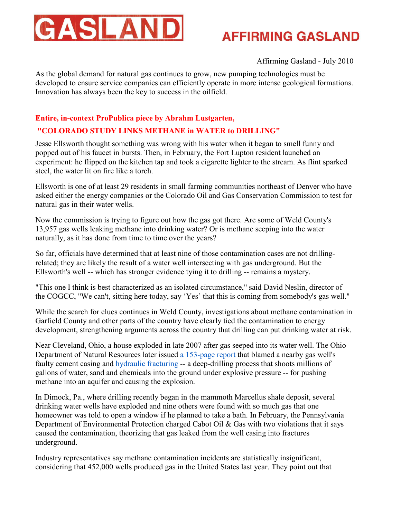

### Affirming Gasland - July 2010

As the global demand for natural gas continues to grow, new pumping technologies must be developed to ensure service companies can efficiently operate in more intense geological formations. Innovation has always been the key to success in the oilfield.

### **Entire, in-context ProPublica piece by Abrahm Lustgarten,**

### **"COLORADO STUDY LINKS METHANE in WATER to DRILLING"**

Jesse Ellsworth thought something was wrong with his water when it began to smell funny and popped out of his faucet in bursts. Then, in February, the Fort Lupton resident launched an experiment: he flipped on the kitchen tap and took a cigarette lighter to the stream. As flint sparked steel, the water lit on fire like a torch.

Ellsworth is one of at least 29 residents in small farming communities northeast of Denver who have asked either the energy companies or the Colorado Oil and Gas Conservation Commission to test for natural gas in their water wells.

Now the commission is trying to figure out how the gas got there. Are some of Weld County's 13,957 gas wells leaking methane into drinking water? Or is methane seeping into the water naturally, as it has done from time to time over the years?

So far, officials have determined that at least nine of those contamination cases are not drillingrelated; they are likely the result of a water well intersecting with gas underground. But the Ellsworth's well -- which has stronger evidence tying it to drilling -- remains a mystery.

"This one I think is best characterized as an isolated circumstance," said David Neslin, director of the COGCC, "We can't, sitting here today, say 'Yes' that this is coming from somebody's gas well."

While the search for clues continues in Weld County, investigations about methane contamination in Garfield County and other parts of the country have clearly tied the contamination to energy development, strengthening arguments across the country that drilling can put drinking water at risk.

Near Cleveland, Ohio, a house exploded in late 2007 after gas seeped into its water well. The Ohio Department of Natural Resources later issued [a 153-page report](http://s3.amazonaws.com/propublica/assets/natural_gas/ohio_methane_report_080901.pdf) that blamed a nearby gas well's faulty cement casing and [hydraulic fracturing](http://www.propublica.org/special/hydraulic-fracturing-national) -- a deep-drilling process that shoots millions of gallons of water, sand and chemicals into the ground under explosive pressure -- for pushing methane into an aquifer and causing the explosion.

In Dimock, Pa., where drilling recently began in the mammoth Marcellus shale deposit, several drinking water wells have exploded and nine others were found with so much gas that one homeowner was told to open a window if he planned to take a bath. In February, the Pennsylvania Department of Environmental Protection charged Cabot Oil & Gas with two violations that it says caused the contamination, theorizing that gas leaked from the well casing into fractures underground.

Industry representatives say methane contamination incidents are statistically insignificant, considering that 452,000 wells produced gas in the United States last year. They point out that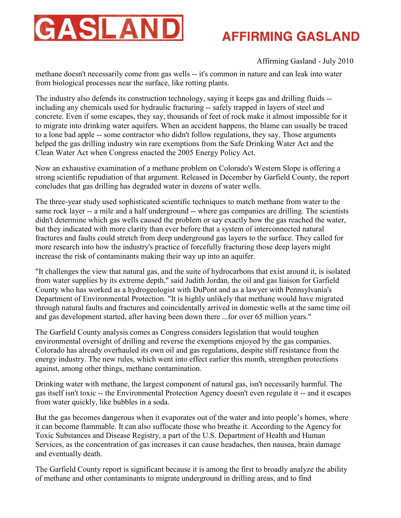

### Affirming Gasland - July 2010

methane doesn't necessarily come from gas wells -- it's common in nature and can leak into water from biological processes near the surface, like rotting plants.

The industry also defends its construction technology, saying it keeps gas and drilling fluids - including any chemicals used for hydraulic fracturing -- safely trapped in layers of steel and concrete. Even if some escapes, they say, thousands of feet of rock make it almost impossible for it to migrate into drinking water aquifers. When an accident happens, the blame can usually be traced to a lone bad apple -- some contractor who didn't follow regulations, they say. Those arguments helped the gas drilling industry win rare exemptions from the Safe Drinking Water Act and the Clean Water Act when Congress enacted the 2005 Energy Policy Act.

Now an exhaustive examination of a methane problem on Colorado's Western Slope is offering a strong scientific repudiation of that argument. Released in December by Garfield County, the report concludes that gas drilling has degraded water in dozens of water wells.

The three-year study used sophisticated scientific techniques to match methane from water to the same rock layer -- a mile and a half underground -- where gas companies are drilling. The scientists didn't determine which gas wells caused the problem or say exactly how the gas reached the water, but they indicated with more clarity than ever before that a system of interconnected natural fractures and faults could stretch from deep underground gas layers to the surface. They called for more research into how the industry's practice of forcefully fracturing those deep layers might increase the risk of contaminants making their way up into an aquifer.

"It challenges the view that natural gas, and the suite of hydrocarbons that exist around it, is isolated from water supplies by its extreme depth," said Judith Jordan, the oil and gas liaison for Garfield County who has worked as a hydrogeologist with DuPont and as a lawyer with Pennsylvania's Department of Environmental Protection. "It is highly unlikely that methane would have migrated through natural faults and fractures and coincidentally arrived in domestic wells at the same time oil and gas development started, after having been down there ...for over 65 million years."

The Garfield County analysis comes as Congress considers legislation that would toughen environmental oversight of drilling and reverse the exemptions enjoyed by the gas companies. Colorado has already overhauled its own oil and gas regulations, despite stiff resistance from the energy industry. The new rules, which went into effect earlier this month, strengthen protections against, among other things, methane contamination.

Drinking water with methane, the largest component of natural gas, isn't necessarily harmful. The gas itself isn't toxic -- the Environmental Protection Agency doesn't even regulate it -- and it escapes from water quickly, like bubbles in a soda.

But the gas becomes dangerous when it evaporates out of the water and into people's homes, where it can become flammable. It can also suffocate those who breathe it. According to the Agency for Toxic Substances and Disease Registry, a part of the U.S. Department of Health and Human Services, as the concentration of gas increases it can cause headaches, then nausea, brain damage and eventually death.

The Garfield County report is significant because it is among the first to broadly analyze the ability of methane and other contaminants to migrate underground in drilling areas, and to find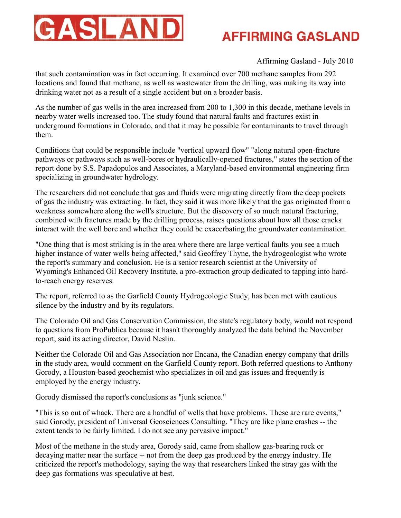

### Affirming Gasland - July 2010

that such contamination was in fact occurring. It examined over 700 methane samples from 292 locations and found that methane, as well as wastewater from the drilling, was making its way into drinking water not as a result of a single accident but on a broader basis.

As the number of gas wells in the area increased from 200 to 1,300 in this decade, methane levels in nearby water wells increased too. The study found that natural faults and fractures exist in underground formations in Colorado, and that it may be possible for contaminants to travel through them.

Conditions that could be responsible include "vertical upward flow" "along natural open-fracture pathways or pathways such as well-bores or hydraulically-opened fractures," states the section of the report done by S.S. Papadopulos and Associates, a Maryland-based environmental engineering firm specializing in groundwater hydrology.

The researchers did not conclude that gas and fluids were migrating directly from the deep pockets of gas the industry was extracting. In fact, they said it was more likely that the gas originated from a weakness somewhere along the well's structure. But the discovery of so much natural fracturing, combined with fractures made by the drilling process, raises questions about how all those cracks interact with the well bore and whether they could be exacerbating the groundwater contamination.

"One thing that is most striking is in the area where there are large vertical faults you see a much higher instance of water wells being affected," said Geoffrey Thyne, the hydrogeologist who wrote the report's summary and conclusion. He is a senior research scientist at the University of Wyoming's Enhanced Oil Recovery Institute, a pro-extraction group dedicated to tapping into hardto-reach energy reserves.

The report, referred to as the Garfield County Hydrogeologic Study, has been met with cautious silence by the industry and by its regulators.

The Colorado Oil and Gas Conservation Commission, the state's regulatory body, would not respond to questions from ProPublica because it hasn't thoroughly analyzed the data behind the November report, said its acting director, David Neslin.

Neither the Colorado Oil and Gas Association nor Encana, the Canadian energy company that drills in the study area, would comment on the Garfield County report. Both referred questions to Anthony Gorody, a Houston-based geochemist who specializes in oil and gas issues and frequently is employed by the energy industry.

Gorody dismissed the report's conclusions as "junk science."

"This is so out of whack. There are a handful of wells that have problems. These are rare events," said Gorody, president of Universal Geosciences Consulting. "They are like plane crashes -- the extent tends to be fairly limited. I do not see any pervasive impact."

Most of the methane in the study area, Gorody said, came from shallow gas-bearing rock or decaying matter near the surface -- not from the deep gas produced by the energy industry. He criticized the report's methodology, saying the way that researchers linked the stray gas with the deep gas formations was speculative at best.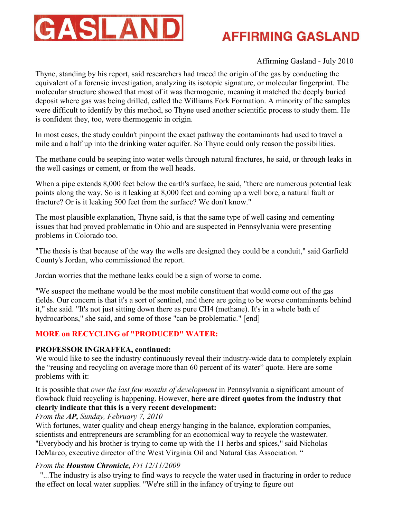

### Affirming Gasland - July 2010

Thyne, standing by his report, said researchers had traced the origin of the gas by conducting the equivalent of a forensic investigation, analyzing its isotopic signature, or molecular fingerprint. The molecular structure showed that most of it was thermogenic, meaning it matched the deeply buried deposit where gas was being drilled, called the Williams Fork Formation. A minority of the samples were difficult to identify by this method, so Thyne used another scientific process to study them. He is confident they, too, were thermogenic in origin.

In most cases, the study couldn't pinpoint the exact pathway the contaminants had used to travel a mile and a half up into the drinking water aquifer. So Thyne could only reason the possibilities.

The methane could be seeping into water wells through natural fractures, he said, or through leaks in the well casings or cement, or from the well heads.

When a pipe extends 8,000 feet below the earth's surface, he said, "there are numerous potential leak points along the way. So is it leaking at 8,000 feet and coming up a well bore, a natural fault or fracture? Or is it leaking 500 feet from the surface? We don't know."

The most plausible explanation, Thyne said, is that the same type of well casing and cementing issues that had proved problematic in Ohio and are suspected in Pennsylvania were presenting problems in Colorado too.

"The thesis is that because of the way the wells are designed they could be a conduit," said Garfield County's Jordan, who commissioned the report.

Jordan worries that the methane leaks could be a sign of worse to come.

"We suspect the methane would be the most mobile constituent that would come out of the gas fields. Our concern is that it's a sort of sentinel, and there are going to be worse contaminants behind it," she said. "It's not just sitting down there as pure CH4 (methane). It's in a whole bath of hydrocarbons," she said, and some of those "can be problematic." [end]

### **MORE on RECYCLING of "PRODUCED" WATER:**

### **PROFESSOR INGRAFFEA, continued:**

We would like to see the industry continuously reveal their industry-wide data to completely explain the "reusing and recycling on average more than 60 percent of its water" quote. Here are some problems with it:

It is possible that *over the last few months of development* in Pennsylvania a significant amount of flowback fluid recycling is happening. However, **here are direct quotes from the industry that clearly indicate that this is a very recent development:**

### *From the AP, Sunday, February 7, 2010*

With fortunes, water quality and cheap energy hanging in the balance, exploration companies, scientists and entrepreneurs are scrambling for an economical way to recycle the wastewater. "Everybody and his brother is trying to come up with the 11 herbs and spices," said Nicholas DeMarco, executive director of the West Virginia Oil and Natural Gas Association. "

### *From the Houston Chronicle, Fri 12/11/2009*

ï"...The industry is also trying to find ways to recycle the water used in fracturing in order to reduce the effect on local water supplies. "We're still in the infancy of trying to figure out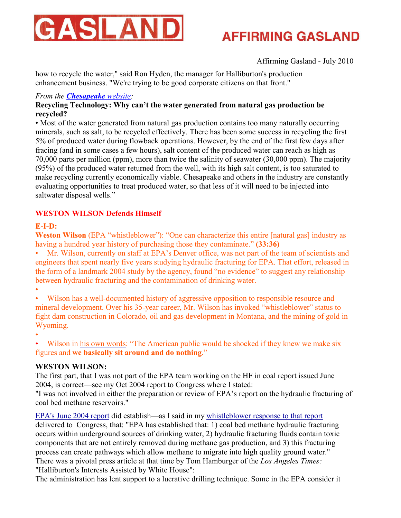

Affirming Gasland - July 2010

how to recycle the water," said Ron Hyden, the manager for Halliburton's production enhancement business. "We're trying to be good corporate citizens on that front."

### *From the [Chesapeake](http://www.askchesapeake.com/Marcellus-Shale/PA/Water/Pages/SaltwaterDisposalWells.aspx) website:*

### **Recycling Technology: Why can't the water generated from natural gas production be recycled?**

• Most of the water generated from natural gas production contains too many naturally occurring minerals, such as salt, to be recycled effectively. There has been some success in recycling the first 5% of produced water during flowback operations. However, by the end of the first few days after fracing (and in some cases a few hours), salt content of the produced water can reach as high as 70,000 parts per million (ppm), more than twice the salinity of seawater (30,000 ppm). The majority (95%) of the produced water returned from the well, with its high salt content, is too saturated to make recycling currently economically viable. Chesapeake and others in the industry are constantly evaluating opportunities to treat produced water, so that less of it will need to be injected into saltwater disposal wells."

### **WESTON WILSON Defends Himself**

### **E-I-D:**

**Weston Wilson** (EPA "whistleblower"): "One can characterize this entire [natural gas] industry as having a hundred year history of purchasing those they contaminate." **(33:36)**

• Mr. Wilson, currently on staff at EPA's Denver office, was not part of the team of scientists and engineers that spent nearly five years studying hydraulic fracturing for EPA. That effort, released in the form of a [landmark 2004 study](http://www.epa.gov/ogwdw000/uic/wells_coalbedmethanestudy.html) by the agency, found "no evidence" to suggest any relationship between hydraulic fracturing and the contamination of drinking water.

•

Wilson has a [well-documented history](http://m.rockymountainnews.com/news/2005/may/31/hes-either-loved-or-reviled/) of aggressive opposition to responsible resource and mineral development. Over his 35-year career, Mr. Wilson has invoked "whistleblower" status to fight dam construction in Colorado, oil and gas development in Montana, and the mining of gold in Wyoming.

•

Wilson in [his own words](http://www.salon.com/news/feature/2006/05/05/fracking/index.html): "The American public would be shocked if they knew we make six figures and **we basically sit around and do nothing**."

### **WESTON WILSON:**

The first part, that I was not part of the EPA team working on the HF in coal report issued June 2004, is correct—see my Oct 2004 report to Congress where I stated:

"I was not involved in either the preparation or review of EPA's report on the hydraulic fracturing of coal bed methane reservoirs."

[EPA's June 2004 report](http://www.epa.gov/ogwdw000/uic/wells_coalbedmethanestudy.html) did establish—as I said in my [whistleblower response to that report](http://www.earthworksaction.org/pubs/Weston.pdf) delivered to Congress, that: "EPA has established that: 1) coal bed methane hydraulic fracturing occurs within underground sources of drinking water, 2) hydraulic fracturing fluids contain toxic components that are not entirely removed during methane gas production, and 3) this fracturing process can create pathways which allow methane to migrate into high quality ground water." There was a pivotal press article at that time by Tom Hamburger of the *Los Angeles Times:*  "Halliburton's Interests Assisted by White House":

The administration has lent support to a lucrative drilling technique. Some in the EPA consider it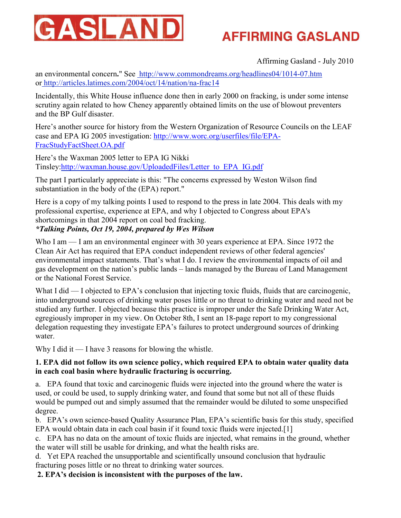

Affirming Gasland - July 2010

an environmental concern**.**" See<http://www.commondreams.org/headlines04/1014-07.htm> o[r http://articles.latimes.com/2004/oct/14/nation/na-frac14](http://articles.latimes.com/2004/oct/14/nation/na-frac14)

Incidentally, this White House influence done then in early 2000 on fracking, is under some intense scrutiny again related to how Cheney apparently obtained limits on the use of blowout preventers and the BP Gulf disaster.

Here's another source for history from the Western Organization of Resource Councils on the LEAF case and EPA IG 2005 investigation: http://www.worc.org/userfiles/file/EPA-FracStudyFactSheet.OA.pdf

Here's the Waxman 2005 letter to EPA IG Nikki Tinsley:http://waxman.house.gov/UploadedFiles/Letter\_to\_EPA\_IG.pdf

The part I particularly appreciate is this: "The concerns expressed by Weston Wilson find substantiation in the body of the (EPA) report."

Here is a copy of my talking points I used to respond to the press in late 2004. This deals with my professional expertise, experience at EPA, and why I objected to Congress about EPA's shortcomings in that 2004 report on coal bed fracking.

*\*Talking Points, Oct 19, 2004, prepared by Wes Wilson*

Who I am — I am an environmental engineer with 30 years experience at EPA. Since 1972 the Clean Air Act has required that EPA conduct independent reviews of other federal agencies' environmental impact statements. That's what I do. I review the environmental impacts of oil and gas development on the nation's public lands – lands managed by the Bureau of Land Management or the National Forest Service.

What I did — I objected to EPA's conclusion that injecting toxic fluids, fluids that are carcinogenic, into underground sources of drinking water poses little or no threat to drinking water and need not be studied any further. I objected because this practice is improper under the Safe Drinking Water Act, egregiously improper in my view. On October 8th, I sent an 18-page report to my congressional delegation requesting they investigate EPA's failures to protect underground sources of drinking water.

Why I did it — I have 3 reasons for blowing the whistle.

### **1. EPA did not follow its own science policy, which required EPA to obtain water quality data in each coal basin where hydraulic fracturing is occurring.**

a. EPA found that toxic and carcinogenic fluids were injected into the ground where the water is used, or could be used, to supply drinking water, and found that some but not all of these fluids would be pumped out and simply assumed that the remainder would be diluted to some unspecified degree.

b. EPA's own science-based Quality Assurance Plan, EPA's scientific basis for this study, specified EPA would obtain data in each coal basin if it found toxic fluids were injected.[1]

c. EPA has no data on the amount of toxic fluids are injected, what remains in the ground, whether the water will still be usable for drinking, and what the health risks are.

d. Yet EPA reached the unsupportable and scientifically unsound conclusion that hydraulic fracturing poses little or no threat to drinking water sources.

**2. EPA's decision is inconsistent with the purposes of the law.**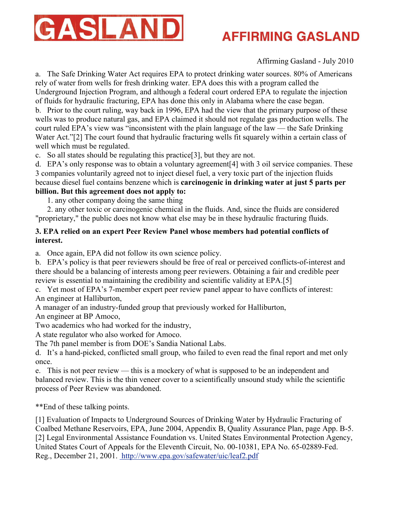

Affirming Gasland - July 2010

a. The Safe Drinking Water Act requires EPA to protect drinking water sources. 80% of Americans rely of water from wells for fresh drinking water. EPA does this with a program called the Underground Injection Program, and although a federal court ordered EPA to regulate the injection of fluids for hydraulic fracturing, EPA has done this only in Alabama where the case began.

b. Prior to the court ruling, way back in 1996, EPA had the view that the primary purpose of these wells was to produce natural gas, and EPA claimed it should not regulate gas production wells. The court ruled EPA's view was "inconsistent with the plain language of the law — the Safe Drinking Water Act."[2] The court found that hydraulic fracturing wells fit squarely within a certain class of well which must be regulated.

c. So all states should be regulating this practice[3], but they are not.

d. EPA's only response was to obtain a voluntary agreement[4] with 3 oil service companies. These 3 companies voluntarily agreed not to inject diesel fuel, a very toxic part of the injection fluids because diesel fuel contains benzene which is **carcinogenic in drinking water at just 5 parts per billion. But this agreement does not apply to:** 

1. any other company doing the same thing

 2. any other toxic or carcinogenic chemical in the fluids. And, since the fluids are considered "proprietary," the public does not know what else may be in these hydraulic fracturing fluids.

### **3. EPA relied on an expert Peer Review Panel whose members had potential conflicts of interest.**

a. Once again, EPA did not follow its own science policy.

b. EPA's policy is that peer reviewers should be free of real or perceived conflicts-of-interest and there should be a balancing of interests among peer reviewers. Obtaining a fair and credible peer review is essential to maintaining the credibility and scientific validity at EPA.[5]

c. Yet most of EPA's 7-member expert peer review panel appear to have conflicts of interest: An engineer at Halliburton,

A manager of an industry-funded group that previously worked for Halliburton,

An engineer at BP Amoco,

Two academics who had worked for the industry,

A state regulator who also worked for Amoco.

The 7th panel member is from DOE's Sandia National Labs.

d. It's a hand-picked, conflicted small group, who failed to even read the final report and met only once.

e. This is not peer review — this is a mockery of what is supposed to be an independent and balanced review. This is the thin veneer cover to a scientifically unsound study while the scientific process of Peer Review was abandoned.

\*\*End of these talking points.

[1] Evaluation of Impacts to Underground Sources of Drinking Water by Hydraulic Fracturing of Coalbed Methane Reservoirs, EPA, June 2004, Appendix B, Quality Assurance Plan, page App. B-5. [2] Legal Environmental Assistance Foundation vs. United States Environmental Protection Agency, United States Court of Appeals for the Eleventh Circuit, No. 00-10381, EPA No. 65-02889-Fed. Reg., December 21, 2001.<http://www.epa.gov/safewater/uic/leaf2.pdf>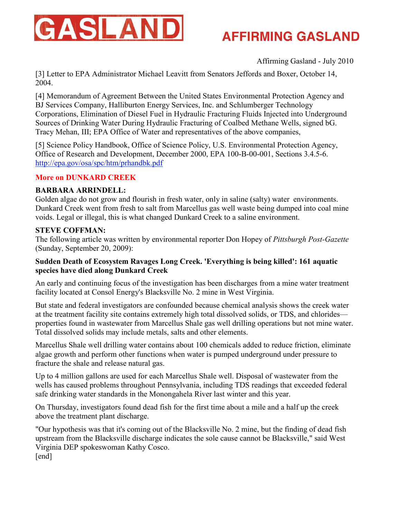

Affirming Gasland - July 2010

[3] Letter to EPA Administrator Michael Leavitt from Senators Jeffords and Boxer, October 14, 2004.

[4] Memorandum of Agreement Between the United States Environmental Protection Agency and BJ Services Company, Halliburton Energy Services, Inc. and Schlumberger Technology Corporations, Elimination of Diesel Fuel in Hydraulic Fracturing Fluids Injected into Underground Sources of Drinking Water During Hydraulic Fracturing of Coalbed Methane Wells, signed bG. Tracy Mehan, III; EPA Office of Water and representatives of the above companies,

[5] Science Policy Handbook, Office of Science Policy, U.S. Environmental Protection Agency, Office of Research and Development, December 2000, EPA 100-B-00-001, Sections 3.4.5-6. <http://epa.gov/osa/spc/htm/prhandbk.pdf>

#### **More on DUNKARD CREEK**

#### **BARBARA ARRINDELL:**

Golden algae do not grow and flourish in fresh water, only in saline (salty) water environments. Dunkard Creek went from fresh to salt from Marcellus gas well waste being dumped into coal mine voids. Legal or illegal, this is what changed Dunkard Creek to a saline environment.

#### **STEVE COFFMAN:**

The following article was written by environmental reporter Don Hopey of *Pittsburgh Post-Gazette* (Sunday, September 20, 2009):

#### **Sudden Death of Ecosystem Ravages Long Creek. 'Everything is being killed': 161 aquatic species have died along Dunkard Creek**

An early and continuing focus of the investigation has been discharges from a mine water treatment facility located at Consol Energy's Blacksville No. 2 mine in West Virginia.

But state and federal investigators are confounded because chemical analysis shows the creek water at the treatment facility site contains extremely high total dissolved solids, or TDS, and chlorides properties found in wastewater from Marcellus Shale gas well drilling operations but not mine water. Total dissolved solids may include metals, salts and other elements.

Marcellus Shale well drilling water contains about 100 chemicals added to reduce friction, eliminate algae growth and perform other functions when water is pumped underground under pressure to fracture the shale and release natural gas.

Up to 4 million gallons are used for each Marcellus Shale well. Disposal of wastewater from the wells has caused problems throughout Pennsylvania, including TDS readings that exceeded federal safe drinking water standards in the Monongahela River last winter and this year.

On Thursday, investigators found dead fish for the first time about a mile and a half up the creek above the treatment plant discharge.

"Our hypothesis was that it's coming out of the Blacksville No. 2 mine, but the finding of dead fish upstream from the Blacksville discharge indicates the sole cause cannot be Blacksville," said West Virginia DEP spokeswoman Kathy Cosco. [end]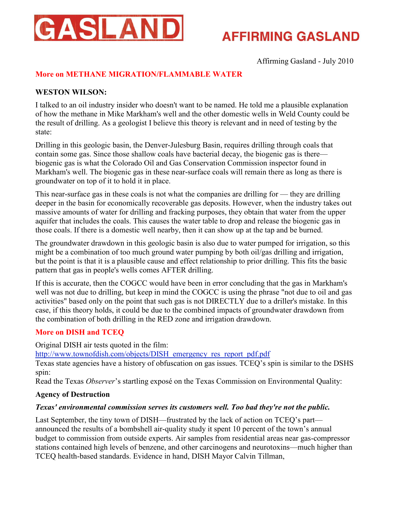

Affirming Gasland - July 2010

### **More on METHANE MIGRATION/FLAMMABLE WATER**

#### **WESTON WILSON:**

I talked to an oil industry insider who doesn't want to be named. He told me a plausible explanation of how the methane in Mike Markham's well and the other domestic wells in Weld County could be the result of drilling. As a geologist I believe this theory is relevant and in need of testing by the state:

Drilling in this geologic basin, the Denver-Julesburg Basin, requires drilling through coals that contain some gas. Since those shallow coals have bacterial decay, the biogenic gas is there biogenic gas is what the Colorado Oil and Gas Conservation Commission inspector found in Markham's well. The biogenic gas in these near-surface coals will remain there as long as there is groundwater on top of it to hold it in place.

This near-surface gas in these coals is not what the companies are drilling for — they are drilling deeper in the basin for economically recoverable gas deposits. However, when the industry takes out massive amounts of water for drilling and fracking purposes, they obtain that water from the upper aquifer that includes the coals. This causes the water table to drop and release the biogenic gas in those coals. If there is a domestic well nearby, then it can show up at the tap and be burned.

The groundwater drawdown in this geologic basin is also due to water pumped for irrigation, so this might be a combination of too much ground water pumping by both oil/gas drilling and irrigation, but the point is that it is a plausible cause and effect relationship to prior drilling. This fits the basic pattern that gas in people's wells comes AFTER drilling.

If this is accurate, then the COGCC would have been in error concluding that the gas in Markham's well was not due to drilling, but keep in mind the COGCC is using the phrase "not due to oil and gas activities" based only on the point that such gas is not DIRECTLY due to a driller's mistake. In this case, if this theory holds, it could be due to the combined impacts of groundwater drawdown from the combination of both drilling in the RED zone and irrigation drawdown.

#### **More on DISH and TCEQ**

Original DISH air tests quoted in the film:

[http://www.townofdish.com/objects/DISH\\_emergency\\_res\\_report\\_pdf.pdf](http://www.townofdish.com/objects/DISH_emergency_res_report_pdf.pdf)

Texas state agencies have a history of obfuscation on gas issues. TCEQ's spin is similar to the DSHS spin:

Read the Texas *Observer*'s startling exposé on the Texas Commission on Environmental Quality:

#### **Agency of Destruction**

#### *Texas' environmental commission serves its customers well. Too bad they're not the public.*

Last September, the tiny town of DISH—frustrated by the lack of action on TCEQ's part announced the results of a bombshell air-quality study it spent 10 percent of the town's annual budget to commission from outside experts. Air samples from residential areas near gas-compressor stations contained high levels of benzene, and other carcinogens and neurotoxins—much higher than TCEQ health-based standards. Evidence in hand, DISH Mayor Calvin Tillman,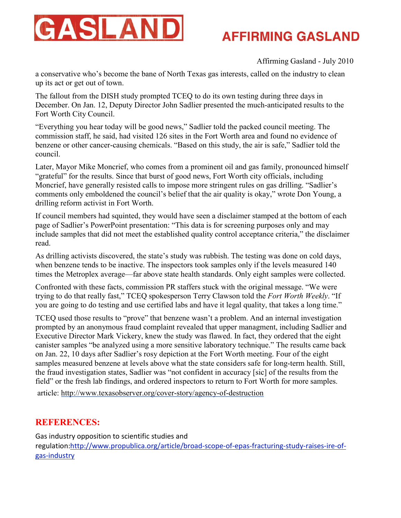

Affirming Gasland - July 2010

a conservative who's become the bane of North Texas gas interests, called on the industry to clean up its act or get out of town.

The fallout from the DISH study prompted TCEQ to do its own testing during three days in December. On Jan. 12, Deputy Director John Sadlier presented the much-anticipated results to the Fort Worth City Council.

"Everything you hear today will be good news," Sadlier told the packed council meeting. The commission staff, he said, had visited 126 sites in the Fort Worth area and found no evidence of benzene or other cancer-causing chemicals. "Based on this study, the air is safe," Sadlier told the council.

Later, Mayor Mike Moncrief, who comes from a prominent oil and gas family, pronounced himself "grateful" for the results. Since that burst of good news, Fort Worth city officials, including Moncrief, have generally resisted calls to impose more stringent rules on gas drilling. "Sadlier's comments only emboldened the council's belief that the air quality is okay," wrote Don Young, a drilling reform activist in Fort Worth.

If council members had squinted, they would have seen a disclaimer stamped at the bottom of each page of Sadlier's PowerPoint presentation: "This data is for screening purposes only and may include samples that did not meet the established quality control acceptance criteria," the disclaimer read.

As drilling activists discovered, the state's study was rubbish. The testing was done on cold days, when benzene tends to be inactive. The inspectors took samples only if the levels measured 140 times the Metroplex average—far above state health standards. Only eight samples were collected.

Confronted with these facts, commission PR staffers stuck with the original message. "We were trying to do that really fast," TCEQ spokesperson Terry Clawson told the *Fort Worth Weekly*. "If you are going to do testing and use certified labs and have it legal quality, that takes a long time."

TCEQ used those results to "prove" that benzene wasn't a problem. And an internal investigation prompted by an anonymous fraud complaint revealed that upper managment, including Sadlier and Executive Director Mark Vickery, knew the study was flawed. In fact, they ordered that the eight canister samples "be analyzed using a more sensitive laboratory technique." The results came back on Jan. 22, 10 days after Sadlier's rosy depiction at the Fort Worth meeting. Four of the eight samples measured benzene at levels above what the state considers safe for long-term health. Still, the fraud investigation states, Sadlier was "not confident in accuracy [sic] of the results from the field" or the fresh lab findings, and ordered inspectors to return to Fort Worth for more samples.

article:<http://www.texasobserver.org/cover-story/agency-of-destruction>

### **REFERENCES:**

Gas industry opposition to scientific studies and regulation[:http://www.propublica.org/article/broad-scope-of-epas-fracturing-study-raises-ire-of](http://www.propublica.org/article/broad-scope-of-epas-fracturing-study-raises-ire-of-gas-industry)[gas-industry](http://www.propublica.org/article/broad-scope-of-epas-fracturing-study-raises-ire-of-gas-industry)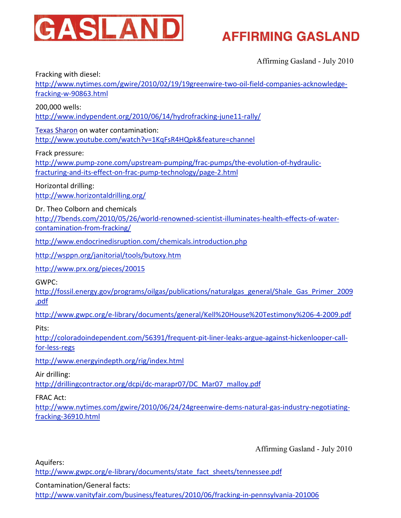

Affirming Gasland - July 2010

Fracking with diesel:

[http://www.nytimes.com/gwire/2010/02/19/19greenwire-two-oil-field-companies-acknowledge](http://www.nytimes.com/gwire/2010/02/19/19greenwire-two-oil-field-companies-acknowledge-fracking-w-90863.html)[fracking-w-90863.html](http://www.nytimes.com/gwire/2010/02/19/19greenwire-two-oil-field-companies-acknowledge-fracking-w-90863.html)

200,000 wells:

<http://www.indypendent.org/2010/06/14/hydrofracking-june11-rally/>

[Texas Sharon](http://txsharon.blogspot.com/) on water contamination:

[http://www.youtube.com/watch?v=1KqFsR4HQpk&feature=channe](http://www.youtube.com/watch?v=1KqFsR4HQpk&feature=channel)l

Frack pressure:

[http://www.pump-zone.com/upstream-pumping/frac-pumps/the-evolution-of-hydraulic](http://www.pump-zone.com/upstream-pumping/frac-pumps/the-evolution-of-hydraulic-fracturing-and-its-effect-on-frac-pump-technology/page-2.html)[fracturing-and-its-effect-on-frac-pump-technology/page-2.htm](http://www.pump-zone.com/upstream-pumping/frac-pumps/the-evolution-of-hydraulic-fracturing-and-its-effect-on-frac-pump-technology/page-2.html)l

Horizontal drilling: <http://www.horizontaldrilling.org/>

Dr. Theo Colborn and chemicals

[http://7bends.com/2010/05/26/world-renowned-scientist-illuminates-health-effects-of-water](http://7bends.com/2010/05/26/world-renowned-scientist-illuminates-health-effects-of-water-contamination-from-fracking/)[contamination-from-fracking/](http://7bends.com/2010/05/26/world-renowned-scientist-illuminates-health-effects-of-water-contamination-from-fracking/)

<http://www.endocrinedisruption.com/chemicals.introduction.php>

<http://wsppn.org/janitorial/tools/butoxy.htm>

<http://www.prx.org/pieces/20015>

GWPC:

[http://fossil.energy.gov/programs/oilgas/publications/naturalgas\\_general/Shale\\_Gas\\_Primer\\_200](http://fossil.energy.gov/programs/oilgas/publications/naturalgas_general/Shale_Gas_Primer_2009.pdf)9 [.pdf](http://fossil.energy.gov/programs/oilgas/publications/naturalgas_general/Shale_Gas_Primer_2009.pdf)

<http://www.gwpc.org/e-library/documents/general/Kell%20House%20Testimony%206-4-2009.pdf>

Pits:

[http://coloradoindependent.com/56391/frequent-pit-liner-leaks-argue-against-hickenlooper-call](http://coloradoindependent.com/56391/frequent-pit-liner-leaks-argue-against-hickenlooper-call-for-less-regs)[for-less-regs](http://coloradoindependent.com/56391/frequent-pit-liner-leaks-argue-against-hickenlooper-call-for-less-regs)

[http://www.energyindepth.org/rig/index.htm](http://www.energyindepth.org/rig/index.html)l

Air drilling:

[http://drillingcontractor.org/dcpi/dc-marapr07/DC\\_Mar07\\_malloy.pdf](http://drillingcontractor.org/dcpi/dc-marapr07/DC_Mar07_malloy.pdf)

FRAC Act:

[http://www.nytimes.com/gwire/2010/06/24/24greenwire-dems-natural-gas-industry-negotiating](http://www.nytimes.com/gwire/2010/06/24/24greenwire-dems-natural-gas-industry-negotiating-fracking-36910.html)[fracking-36910.html](http://www.nytimes.com/gwire/2010/06/24/24greenwire-dems-natural-gas-industry-negotiating-fracking-36910.html)

Affirming Gasland - July 2010

Aquifers:

[http://www.gwpc.org/e-library/documents/state\\_fact\\_sheets/tennessee.pdf](http://www.gwpc.org/e-library/documents/state_fact_sheets/tennessee.pdf)

Contamination/General facts:

<http://www.vanityfair.com/business/features/2010/06/fracking-in-pennsylvania-201006>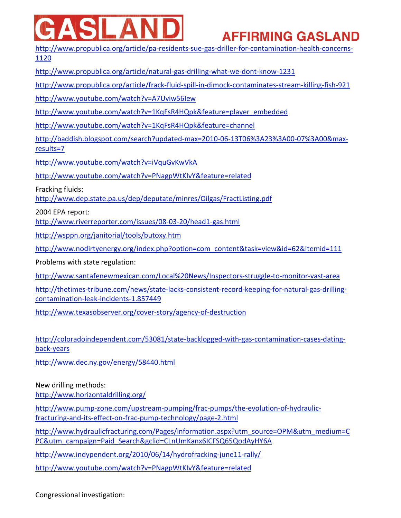# I AR

# **AFFIRMING GASLAND**

[http://www.propublica.org/article/pa-residents-sue-gas-driller-for-contamination-health-concerns](http://www.propublica.org/article/pa-residents-sue-gas-driller-for-contamination-health-concerns-1120)-[1120](http://www.propublica.org/article/pa-residents-sue-gas-driller-for-contamination-health-concerns-1120)

<http://www.propublica.org/article/natural-gas-drilling-what-we-dont-know-1231>

<http://www.propublica.org/article/frack-fluid-spill-in-dimock-contaminates-stream-killing-fish-921>

<http://www.youtube.com/watch?v=A7Uviw56Iew>

[http://www.youtube.com/watch?v=1KqFsR4HQpk&feature=player\\_embedded](http://www.youtube.com/watch?v=1KqFsR4HQpk&feature=player_embedded)

[http://www.youtube.com/watch?v=1KqFsR4HQpk&feature=channe](http://www.youtube.com/watch?v=1KqFsR4HQpk&feature=channel)l

[http://baddish.blogspot.com/search?updated-max=2010-06-13T06%3A23%3A00-07%3A00&max](http://baddish.blogspot.com/search?updated-max=2010-06-13T06%3A23%3A00-07%3A00&max-results=7)[results=7](http://baddish.blogspot.com/search?updated-max=2010-06-13T06%3A23%3A00-07%3A00&max-results=7)

<http://www.youtube.com/watch?v=iVquGvKwVkA>

<http://www.youtube.com/watch?v=PNagpWtKIvY&feature=related>

Fracking fluids:

<http://www.dep.state.pa.us/dep/deputate/minres/Oilgas/FractListing.pdf>

2004 EPA report:

<http://www.riverreporter.com/issues/08-03-20/head1-gas.html>

<http://wsppn.org/janitorial/tools/butoxy.htm>

[http://www.nodirtyenergy.org/index.php?option=com\\_content&task=view&id=62&Itemid=111](http://www.nodirtyenergy.org/index.php?option=com_content&task=view&id=62&Itemid=111)

Problems with state regulation:

<http://www.santafenewmexican.com/Local%20News/Inspectors-struggle-to-monitor-vast-area>

[http://thetimes-tribune.com/news/state-lacks-consistent-record-keeping-for-natural-gas-drilling](http://thetimes-tribune.com/news/state-lacks-consistent-record-keeping-for-natural-gas-drilling-contamination-leak-incidents-1.857449)[contamination-leak-incidents-1.857449](http://thetimes-tribune.com/news/state-lacks-consistent-record-keeping-for-natural-gas-drilling-contamination-leak-incidents-1.857449)

<http://www.texasobserver.org/cover-story/agency-of-destruction>

[http://coloradoindependent.com/53081/state-backlogged-with-gas-contamination-cases-dating](http://coloradoindependent.com/53081/state-backlogged-with-gas-contamination-cases-dating-back-years)[back-years](http://coloradoindependent.com/53081/state-backlogged-with-gas-contamination-cases-dating-back-years)

[http://www.dec.ny.gov/energy/58440.htm](http://www.dec.ny.gov/energy/58440.html)l

New drilling methods:

<http://www.horizontaldrilling.org/>

[http://www.pump-zone.com/upstream-pumping/frac-pumps/the-evolution-of-hydraulic](http://www.pump-zone.com/upstream-pumping/frac-pumps/the-evolution-of-hydraulic-fracturing-and-its-effect-on-frac-pump-technology/page-2.html)[fracturing-and-its-effect-on-frac-pump-technology/page-2.htm](http://www.pump-zone.com/upstream-pumping/frac-pumps/the-evolution-of-hydraulic-fracturing-and-its-effect-on-frac-pump-technology/page-2.html)l

[http://www.hydraulicfracturing.com/Pages/information.aspx?utm\\_source=OPM&utm\\_medium=](http://www.hydraulicfracturing.com/Pages/information.aspx?utm_source=OPM&utm_medium=CPC&utm_campaign=Paid_Search&gclid=CLnUmKanx6ICFSQ65QodAyHY6A)C [PC&utm\\_campaign=Paid\\_Search&gclid=CLnUmKanx6ICFSQ65QodAyHY6A](http://www.hydraulicfracturing.com/Pages/information.aspx?utm_source=OPM&utm_medium=CPC&utm_campaign=Paid_Search&gclid=CLnUmKanx6ICFSQ65QodAyHY6A)

<http://www.indypendent.org/2010/06/14/hydrofracking-june11-rally/>

<http://www.youtube.com/watch?v=PNagpWtKIvY&feature=related>

Congressional investigation: